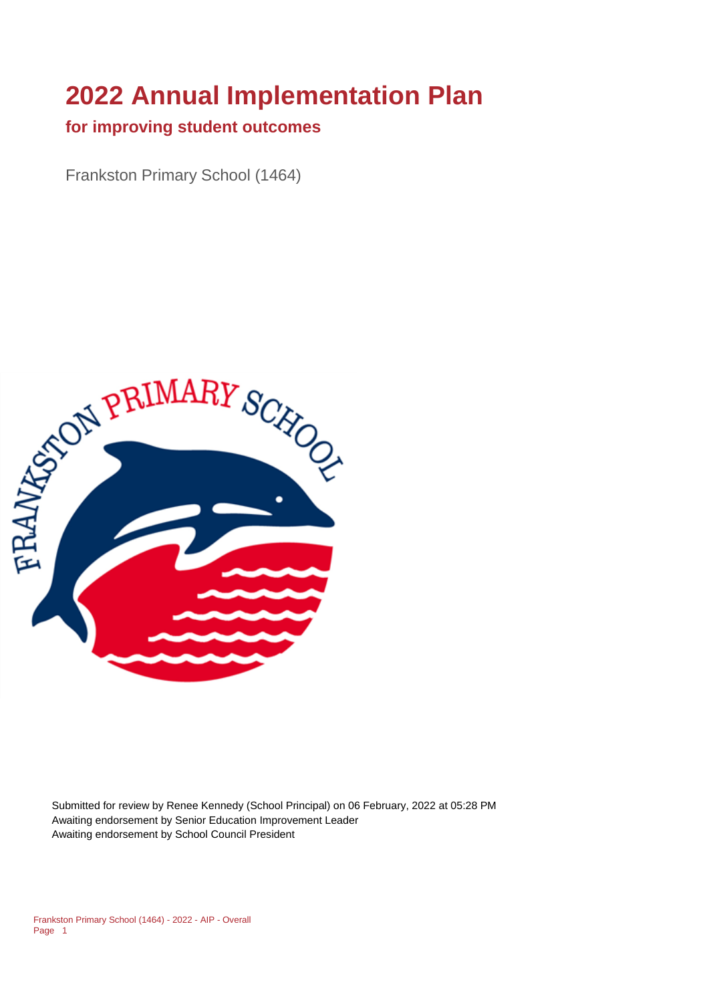# **2022 Annual Implementation Plan**

### **for improving student outcomes**

Frankston Primary School (1464)



Submitted for review by Renee Kennedy (School Principal) on 06 February, 2022 at 05:28 PM Awaiting endorsement by Senior Education Improvement Leader Awaiting endorsement by School Council President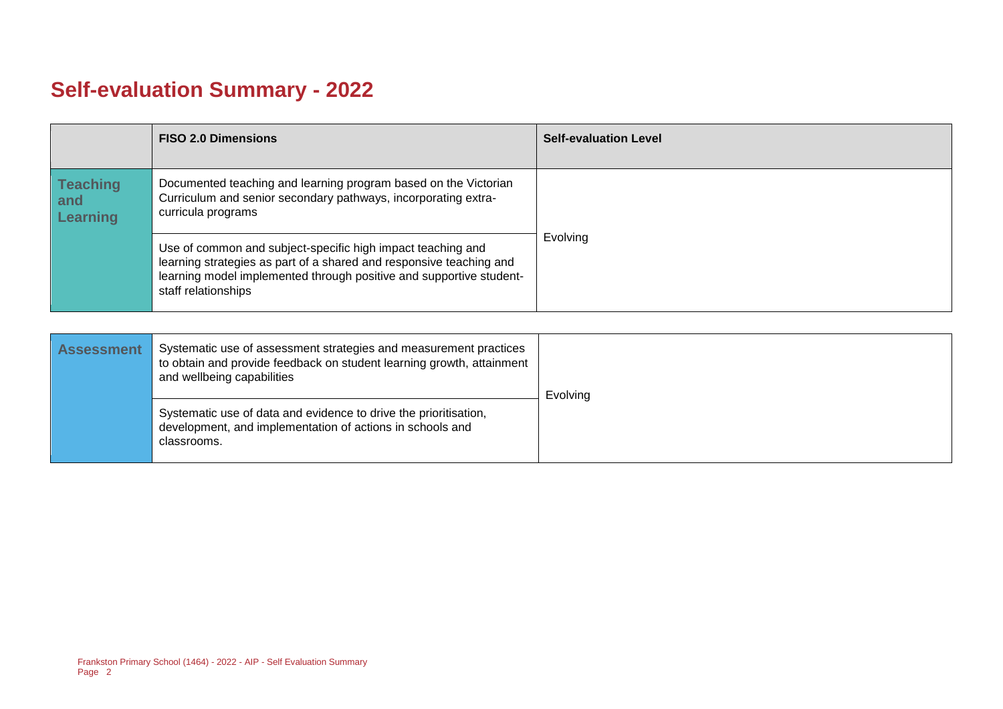## **Self-evaluation Summary - 2022**

|                                           | <b>FISO 2.0 Dimensions</b>                                                                                                                                                                                                       | <b>Self-evaluation Level</b> |
|-------------------------------------------|----------------------------------------------------------------------------------------------------------------------------------------------------------------------------------------------------------------------------------|------------------------------|
| <b>Teaching</b><br>and<br><b>Learning</b> | Documented teaching and learning program based on the Victorian<br>Curriculum and senior secondary pathways, incorporating extra-<br>curricula programs                                                                          |                              |
|                                           | Use of common and subject-specific high impact teaching and<br>learning strategies as part of a shared and responsive teaching and<br>learning model implemented through positive and supportive student-<br>staff relationships | Evolving                     |

| <b>Assessment</b> | Systematic use of assessment strategies and measurement practices<br>to obtain and provide feedback on student learning growth, attainment<br>and wellbeing capabilities | Evolving |
|-------------------|--------------------------------------------------------------------------------------------------------------------------------------------------------------------------|----------|
|                   | Systematic use of data and evidence to drive the prioritisation,<br>development, and implementation of actions in schools and<br>classrooms.                             |          |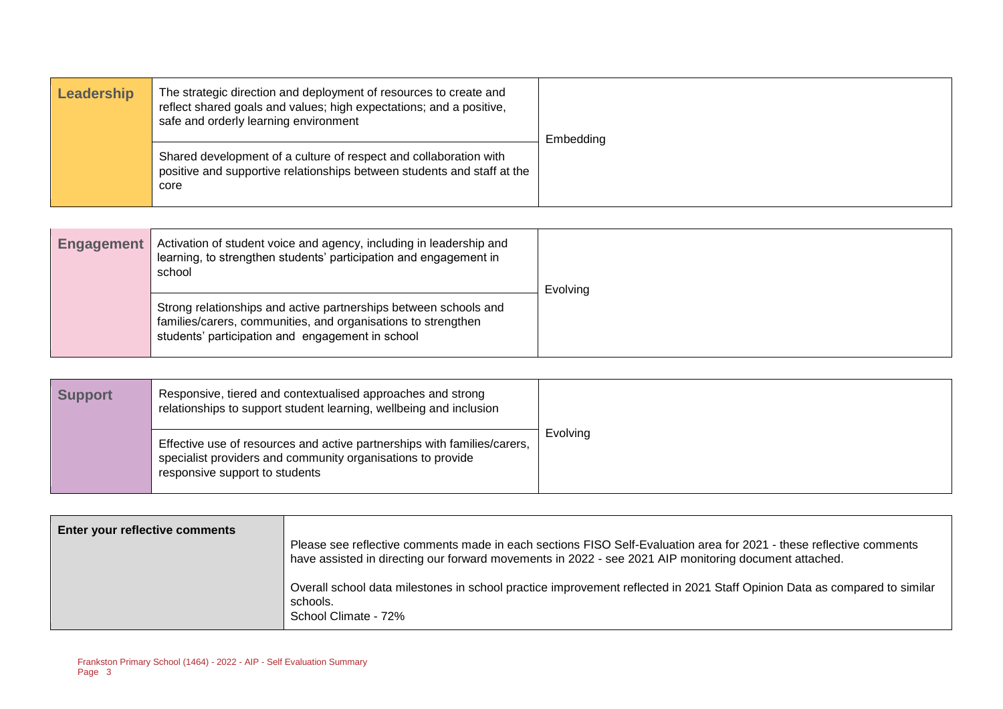| Leadership | The strategic direction and deployment of resources to create and<br>reflect shared goals and values; high expectations; and a positive,<br>safe and orderly learning environment | Embedding |
|------------|-----------------------------------------------------------------------------------------------------------------------------------------------------------------------------------|-----------|
|            | Shared development of a culture of respect and collaboration with<br>positive and supportive relationships between students and staff at the<br>core                              |           |

| <b>Engagement</b> | Activation of student voice and agency, including in leadership and<br>learning, to strengthen students' participation and engagement in<br>school                                    | Evolving |
|-------------------|---------------------------------------------------------------------------------------------------------------------------------------------------------------------------------------|----------|
|                   | Strong relationships and active partnerships between schools and<br>families/carers, communities, and organisations to strengthen<br>students' participation and engagement in school |          |

| <b>Support</b> | Responsive, tiered and contextualised approaches and strong<br>relationships to support student learning, wellbeing and inclusion                                         |          |
|----------------|---------------------------------------------------------------------------------------------------------------------------------------------------------------------------|----------|
|                | Effective use of resources and active partnerships with families/carers,<br>specialist providers and community organisations to provide<br>responsive support to students | Evolving |

| Enter your reflective comments | Please see reflective comments made in each sections FISO Self-Evaluation area for 2021 - these reflective comments<br>have assisted in directing our forward movements in 2022 - see 2021 AIP monitoring document attached. |
|--------------------------------|------------------------------------------------------------------------------------------------------------------------------------------------------------------------------------------------------------------------------|
|                                | Overall school data milestones in school practice improvement reflected in 2021 Staff Opinion Data as compared to similar<br>schools.<br>School Climate - 72%                                                                |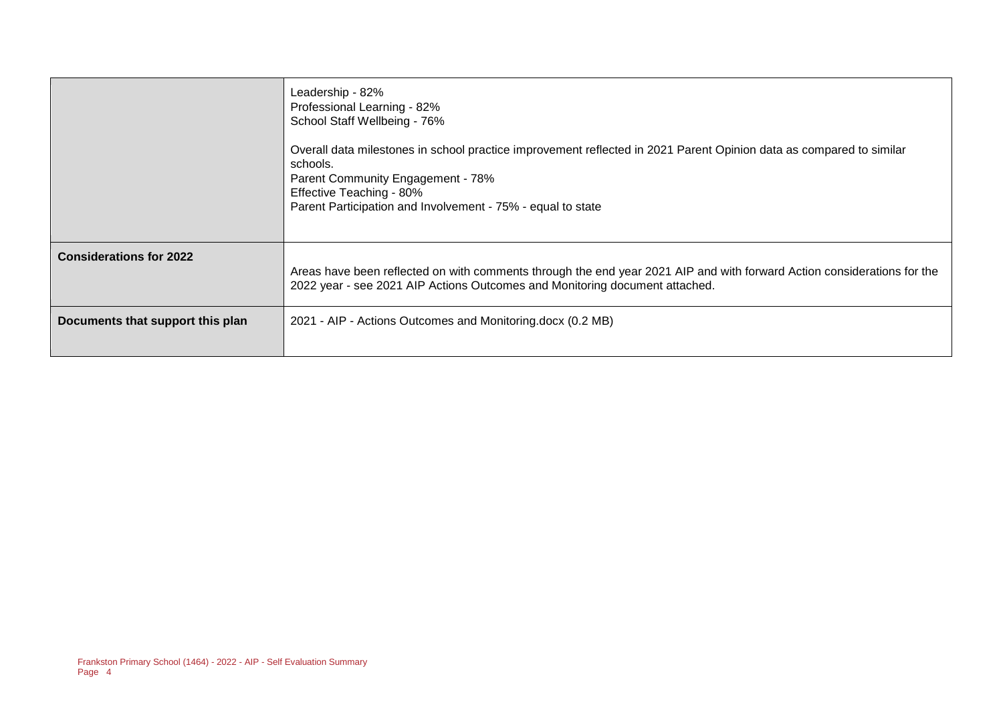|                                  | Leadership - 82%<br>Professional Learning - 82%<br>School Staff Wellbeing - 76%<br>Overall data milestones in school practice improvement reflected in 2021 Parent Opinion data as compared to similar<br>schools.<br>Parent Community Engagement - 78%<br>Effective Teaching - 80%<br>Parent Participation and Involvement - 75% - equal to state |
|----------------------------------|----------------------------------------------------------------------------------------------------------------------------------------------------------------------------------------------------------------------------------------------------------------------------------------------------------------------------------------------------|
|                                  |                                                                                                                                                                                                                                                                                                                                                    |
| <b>Considerations for 2022</b>   | Areas have been reflected on with comments through the end year 2021 AIP and with forward Action considerations for the<br>2022 year - see 2021 AIP Actions Outcomes and Monitoring document attached.                                                                                                                                             |
| Documents that support this plan | 2021 - AIP - Actions Outcomes and Monitoring.docx (0.2 MB)                                                                                                                                                                                                                                                                                         |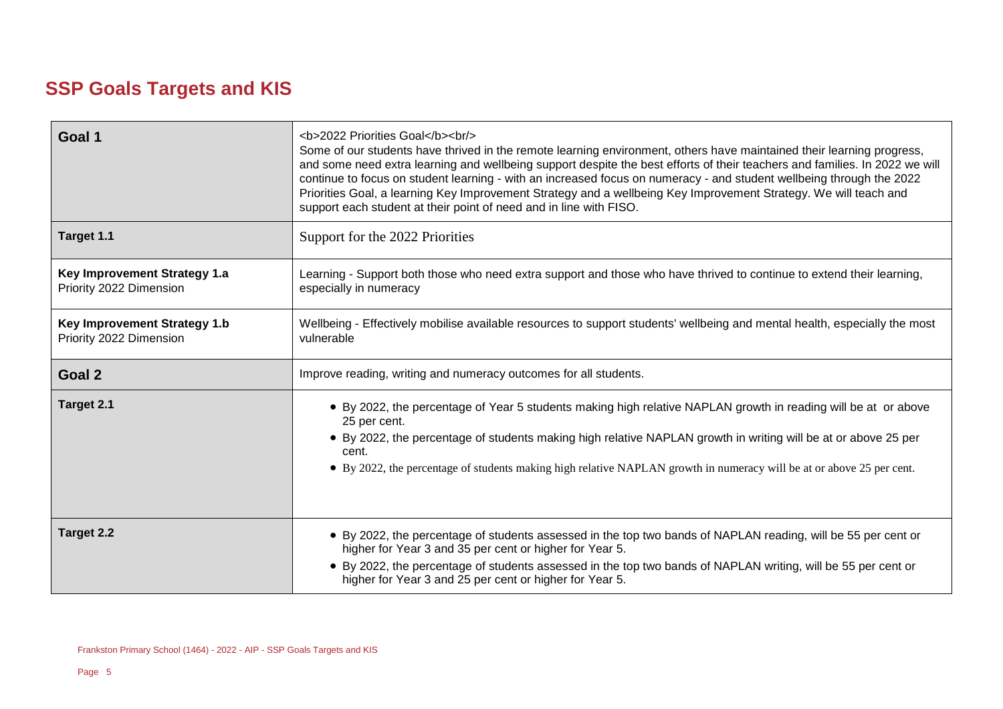### **SSP Goals Targets and KIS**

| Goal 1                                                         | <b>2022 Priorities Goal</b><br><br><br>Some of our students have thrived in the remote learning environment, others have maintained their learning progress,<br>and some need extra learning and wellbeing support despite the best efforts of their teachers and families. In 2022 we will<br>continue to focus on student learning - with an increased focus on numeracy - and student wellbeing through the 2022<br>Priorities Goal, a learning Key Improvement Strategy and a wellbeing Key Improvement Strategy. We will teach and<br>support each student at their point of need and in line with FISO. |  |  |
|----------------------------------------------------------------|---------------------------------------------------------------------------------------------------------------------------------------------------------------------------------------------------------------------------------------------------------------------------------------------------------------------------------------------------------------------------------------------------------------------------------------------------------------------------------------------------------------------------------------------------------------------------------------------------------------|--|--|
| Target 1.1                                                     | Support for the 2022 Priorities                                                                                                                                                                                                                                                                                                                                                                                                                                                                                                                                                                               |  |  |
| Key Improvement Strategy 1.a<br>Priority 2022 Dimension        | Learning - Support both those who need extra support and those who have thrived to continue to extend their learning,<br>especially in numeracy                                                                                                                                                                                                                                                                                                                                                                                                                                                               |  |  |
| <b>Key Improvement Strategy 1.b</b><br>Priority 2022 Dimension | Wellbeing - Effectively mobilise available resources to support students' wellbeing and mental health, especially the most<br>vulnerable                                                                                                                                                                                                                                                                                                                                                                                                                                                                      |  |  |
| Goal 2                                                         | Improve reading, writing and numeracy outcomes for all students.                                                                                                                                                                                                                                                                                                                                                                                                                                                                                                                                              |  |  |
| Target 2.1                                                     | • By 2022, the percentage of Year 5 students making high relative NAPLAN growth in reading will be at or above<br>25 per cent.<br>• By 2022, the percentage of students making high relative NAPLAN growth in writing will be at or above 25 per<br>cent.                                                                                                                                                                                                                                                                                                                                                     |  |  |
|                                                                | • By 2022, the percentage of students making high relative NAPLAN growth in numeracy will be at or above 25 per cent.                                                                                                                                                                                                                                                                                                                                                                                                                                                                                         |  |  |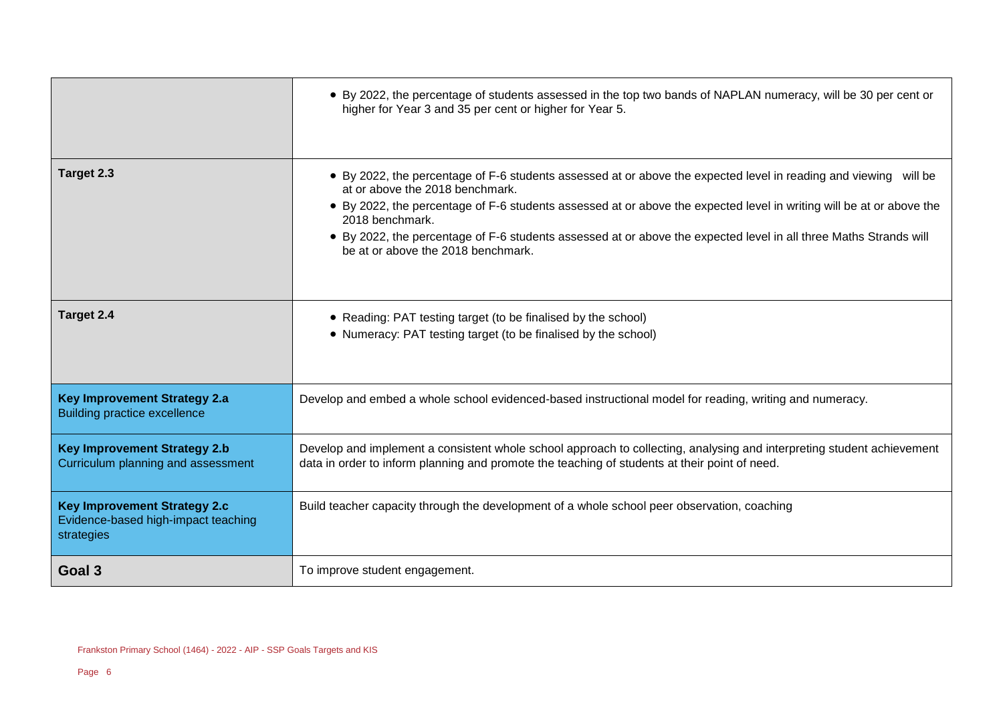|                                                                                          | • By 2022, the percentage of students assessed in the top two bands of NAPLAN numeracy, will be 30 per cent or<br>higher for Year 3 and 35 per cent or higher for Year 5.                                                                                                                                                                                                                                                                                 |
|------------------------------------------------------------------------------------------|-----------------------------------------------------------------------------------------------------------------------------------------------------------------------------------------------------------------------------------------------------------------------------------------------------------------------------------------------------------------------------------------------------------------------------------------------------------|
| Target 2.3                                                                               | • By 2022, the percentage of F-6 students assessed at or above the expected level in reading and viewing will be<br>at or above the 2018 benchmark.<br>• By 2022, the percentage of F-6 students assessed at or above the expected level in writing will be at or above the<br>2018 benchmark.<br>• By 2022, the percentage of F-6 students assessed at or above the expected level in all three Maths Strands will<br>be at or above the 2018 benchmark. |
| Target 2.4                                                                               | • Reading: PAT testing target (to be finalised by the school)<br>• Numeracy: PAT testing target (to be finalised by the school)                                                                                                                                                                                                                                                                                                                           |
| <b>Key Improvement Strategy 2.a</b><br><b>Building practice excellence</b>               | Develop and embed a whole school evidenced-based instructional model for reading, writing and numeracy.                                                                                                                                                                                                                                                                                                                                                   |
| <b>Key Improvement Strategy 2.b</b><br>Curriculum planning and assessment                | Develop and implement a consistent whole school approach to collecting, analysing and interpreting student achievement<br>data in order to inform planning and promote the teaching of students at their point of need.                                                                                                                                                                                                                                   |
| <b>Key Improvement Strategy 2.c</b><br>Evidence-based high-impact teaching<br>strategies | Build teacher capacity through the development of a whole school peer observation, coaching                                                                                                                                                                                                                                                                                                                                                               |
| Goal 3                                                                                   | To improve student engagement.                                                                                                                                                                                                                                                                                                                                                                                                                            |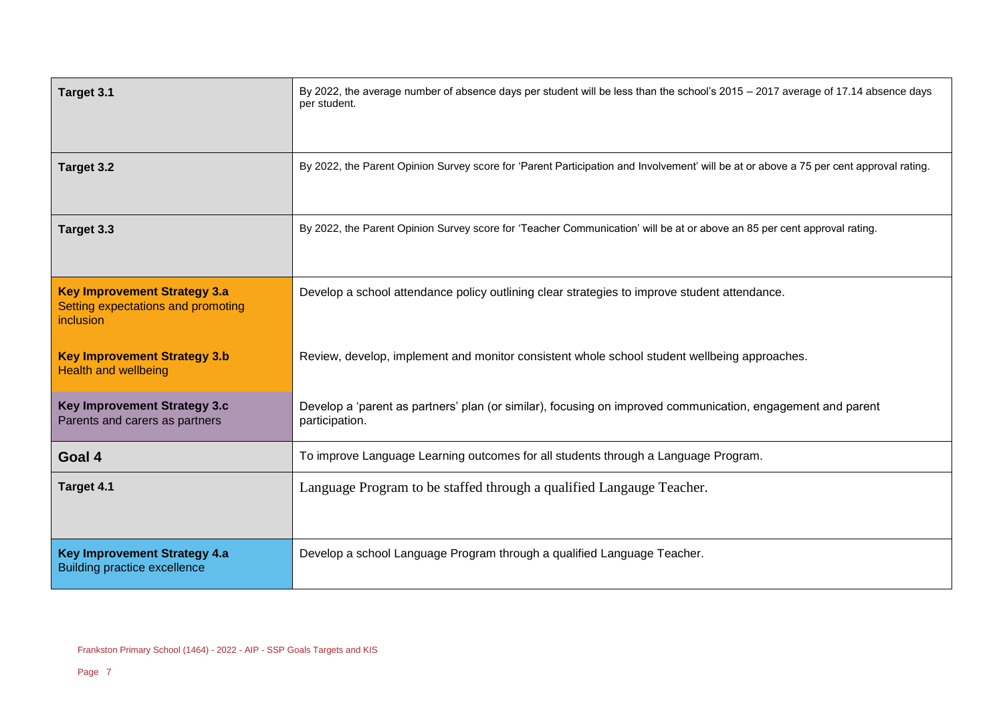| Target 3.1                                                                             | By 2022, the average number of absence days per student will be less than the school's 2015 - 2017 average of 17.14 absence days<br>per student. |
|----------------------------------------------------------------------------------------|--------------------------------------------------------------------------------------------------------------------------------------------------|
| Target 3.2                                                                             | By 2022, the Parent Opinion Survey score for 'Parent Participation and Involvement' will be at or above a 75 per cent approval rating.           |
| Target 3.3                                                                             | By 2022, the Parent Opinion Survey score for 'Teacher Communication' will be at or above an 85 per cent approval rating.                         |
| <b>Key Improvement Strategy 3.a</b><br>Setting expectations and promoting<br>inclusion | Develop a school attendance policy outlining clear strategies to improve student attendance.                                                     |
| <b>Key Improvement Strategy 3.b</b><br><b>Health and wellbeing</b>                     | Review, develop, implement and monitor consistent whole school student wellbeing approaches.                                                     |
| Key Improvement Strategy 3.c<br>Parents and carers as partners                         | Develop a 'parent as partners' plan (or similar), focusing on improved communication, engagement and parent<br>participation.                    |
| Goal 4                                                                                 | To improve Language Learning outcomes for all students through a Language Program.                                                               |
| Target 4.1                                                                             | Language Program to be staffed through a qualified Langauge Teacher.                                                                             |
| <b>Key Improvement Strategy 4.a</b><br><b>Building practice excellence</b>             | Develop a school Language Program through a qualified Language Teacher.                                                                          |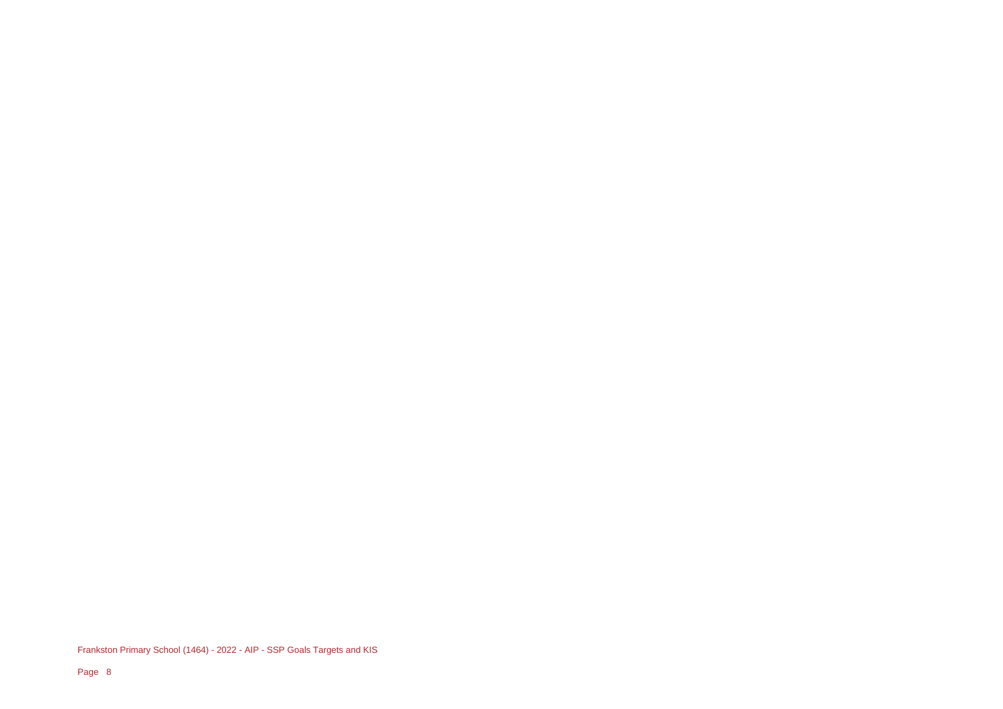Frankston Primary School (1464) - 2022 - AIP - SSP Goals Targets and KIS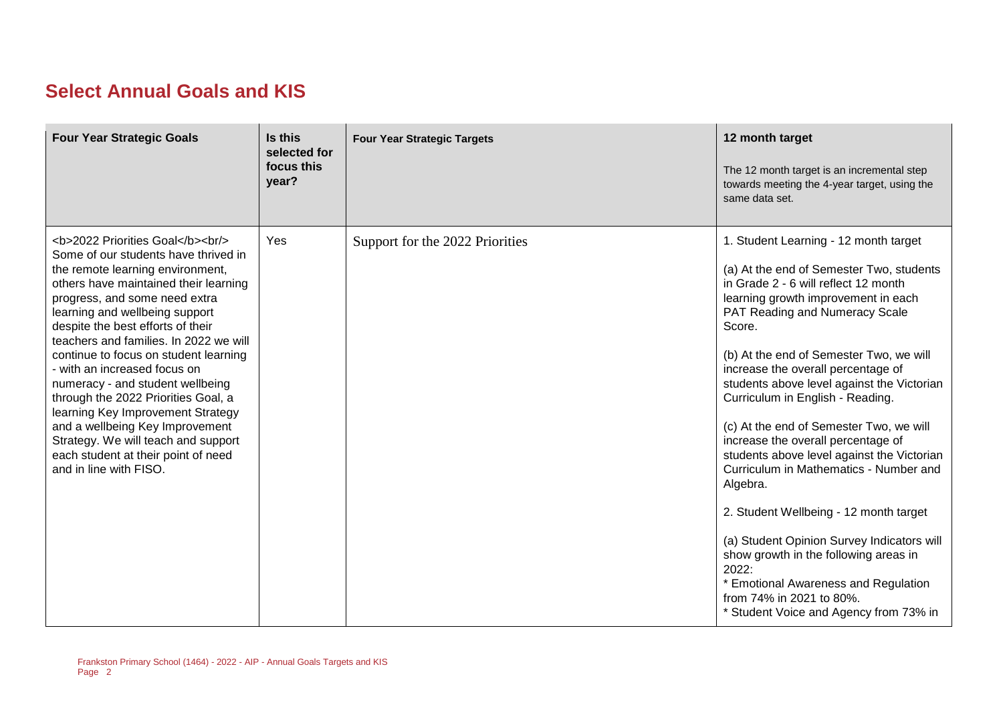### **Select Annual Goals and KIS**

| <b>Four Year Strategic Goals</b>                                                                                                                                                              | Is this<br>selected for<br>focus this<br>year? | <b>Four Year Strategic Targets</b> | 12 month target<br>The 12 month target is an incremental step<br>towards meeting the 4-year target, using the<br>same data set.                                                                                                                                                                                                                                                                                                                                                                                                                                                                                                                                                                                                                                                                                              |
|-----------------------------------------------------------------------------------------------------------------------------------------------------------------------------------------------|------------------------------------------------|------------------------------------|------------------------------------------------------------------------------------------------------------------------------------------------------------------------------------------------------------------------------------------------------------------------------------------------------------------------------------------------------------------------------------------------------------------------------------------------------------------------------------------------------------------------------------------------------------------------------------------------------------------------------------------------------------------------------------------------------------------------------------------------------------------------------------------------------------------------------|
| <b>2022 Priorities Goal</b><br><br><br>Some of our students have thrived in<br>the remote learning environment,<br>others have maintained their learning<br>progress, and some need extra<br> | Yes                                            | Support for the 2022 Priorities    | 1. Student Learning - 12 month target<br>(a) At the end of Semester Two, students<br>in Grade 2 - 6 will reflect 12 month<br>learning growth improvement in each<br>PAT Reading and Numeracy Scale<br>Score.<br>(b) At the end of Semester Two, we will<br>increase the overall percentage of<br>students above level against the Victorian<br>Curriculum in English - Reading.<br>(c) At the end of Semester Two, we will<br>increase the overall percentage of<br>students above level against the Victorian<br>Curriculum in Mathematics - Number and<br>Algebra.<br>2. Student Wellbeing - 12 month target<br>(a) Student Opinion Survey Indicators will<br>show growth in the following areas in<br>2022:<br>* Emotional Awareness and Regulation<br>from 74% in 2021 to 80%.<br>* Student Voice and Agency from 73% in |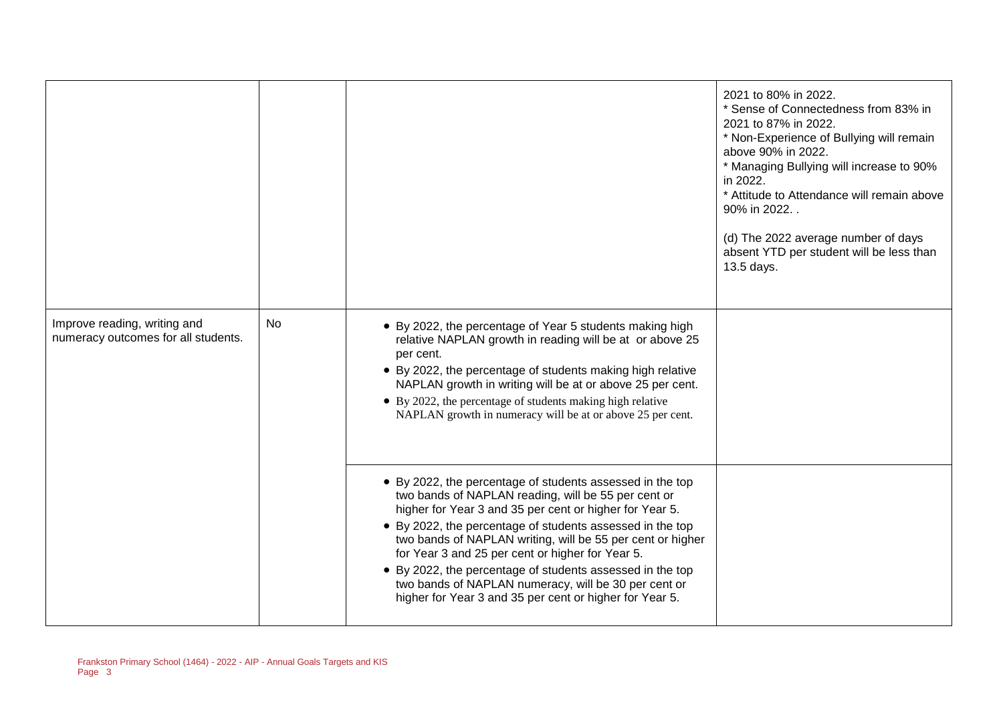|                                                                     |           |                                                                                                                                                                                                                                                                                                                                                                                                                                                                                                                                            | 2021 to 80% in 2022.<br>* Sense of Connectedness from 83% in<br>2021 to 87% in 2022.<br>* Non-Experience of Bullying will remain<br>above 90% in 2022.<br>* Managing Bullying will increase to 90%<br>in 2022.<br>* Attitude to Attendance will remain above<br>90% in 2022<br>(d) The 2022 average number of days<br>absent YTD per student will be less than<br>13.5 days. |
|---------------------------------------------------------------------|-----------|--------------------------------------------------------------------------------------------------------------------------------------------------------------------------------------------------------------------------------------------------------------------------------------------------------------------------------------------------------------------------------------------------------------------------------------------------------------------------------------------------------------------------------------------|------------------------------------------------------------------------------------------------------------------------------------------------------------------------------------------------------------------------------------------------------------------------------------------------------------------------------------------------------------------------------|
| Improve reading, writing and<br>numeracy outcomes for all students. | <b>No</b> | • By 2022, the percentage of Year 5 students making high<br>relative NAPLAN growth in reading will be at or above 25<br>per cent.<br>• By 2022, the percentage of students making high relative<br>NAPLAN growth in writing will be at or above 25 per cent.<br>• By 2022, the percentage of students making high relative<br>NAPLAN growth in numeracy will be at or above 25 per cent.                                                                                                                                                   |                                                                                                                                                                                                                                                                                                                                                                              |
|                                                                     |           | • By 2022, the percentage of students assessed in the top<br>two bands of NAPLAN reading, will be 55 per cent or<br>higher for Year 3 and 35 per cent or higher for Year 5.<br>• By 2022, the percentage of students assessed in the top<br>two bands of NAPLAN writing, will be 55 per cent or higher<br>for Year 3 and 25 per cent or higher for Year 5.<br>• By 2022, the percentage of students assessed in the top<br>two bands of NAPLAN numeracy, will be 30 per cent or<br>higher for Year 3 and 35 per cent or higher for Year 5. |                                                                                                                                                                                                                                                                                                                                                                              |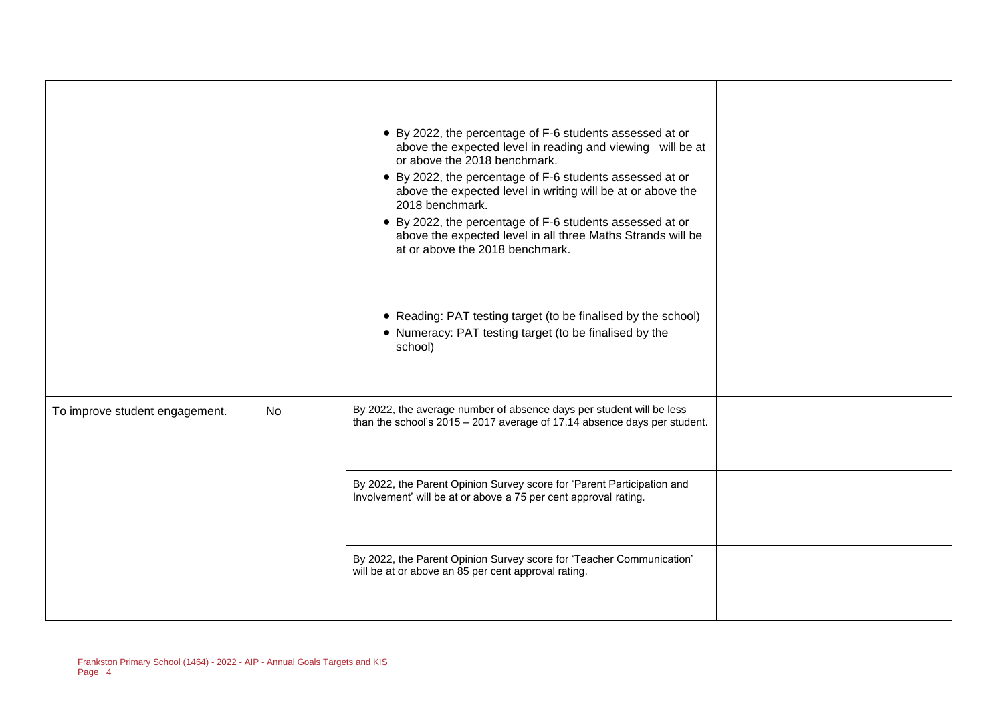|                                |    | • By 2022, the percentage of F-6 students assessed at or<br>above the expected level in reading and viewing will be at<br>or above the 2018 benchmark.<br>• By 2022, the percentage of F-6 students assessed at or<br>above the expected level in writing will be at or above the<br>2018 benchmark.<br>• By 2022, the percentage of F-6 students assessed at or<br>above the expected level in all three Maths Strands will be<br>at or above the 2018 benchmark. |  |
|--------------------------------|----|--------------------------------------------------------------------------------------------------------------------------------------------------------------------------------------------------------------------------------------------------------------------------------------------------------------------------------------------------------------------------------------------------------------------------------------------------------------------|--|
|                                |    | • Reading: PAT testing target (to be finalised by the school)<br>• Numeracy: PAT testing target (to be finalised by the<br>school)                                                                                                                                                                                                                                                                                                                                 |  |
| To improve student engagement. | No | By 2022, the average number of absence days per student will be less<br>than the school's $2015 - 2017$ average of 17.14 absence days per student.                                                                                                                                                                                                                                                                                                                 |  |
|                                |    | By 2022, the Parent Opinion Survey score for 'Parent Participation and<br>Involvement' will be at or above a 75 per cent approval rating.                                                                                                                                                                                                                                                                                                                          |  |
|                                |    | By 2022, the Parent Opinion Survey score for 'Teacher Communication'<br>will be at or above an 85 per cent approval rating.                                                                                                                                                                                                                                                                                                                                        |  |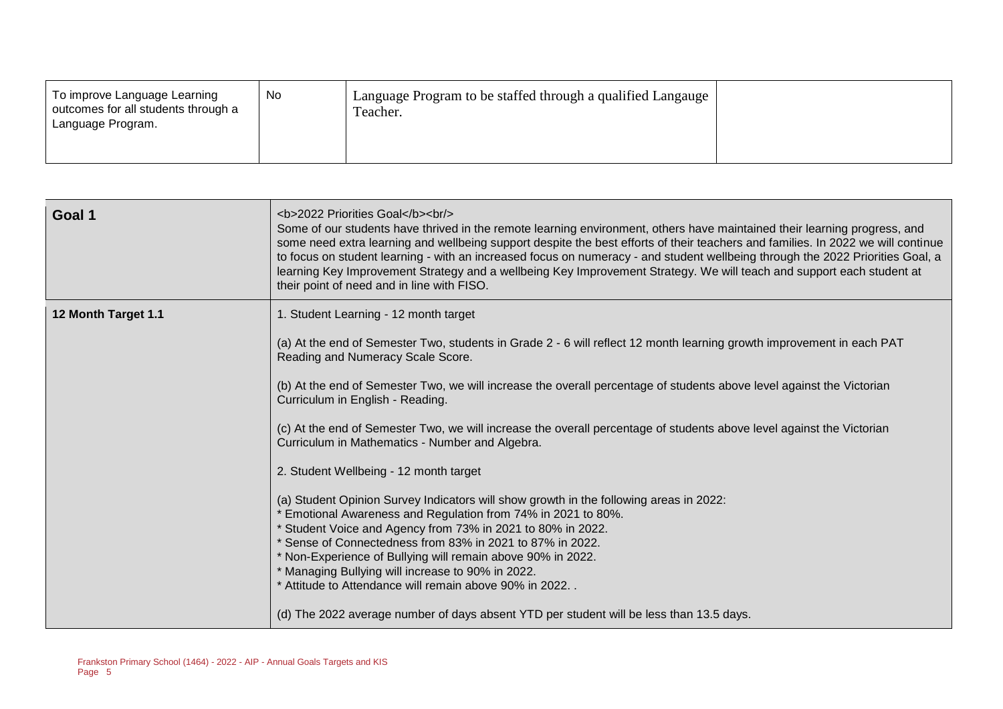| No<br>To improve Language Learning<br>outcomes for all students through a<br>Language Program. | Language Program to be staffed through a qualified Langauge<br>Teacher. |  |
|------------------------------------------------------------------------------------------------|-------------------------------------------------------------------------|--|
|------------------------------------------------------------------------------------------------|-------------------------------------------------------------------------|--|

| Goal 1              | <b>2022 Priorities Goal</b><br><br><br>Some of our students have thrived in the remote learning environment, others have maintained their learning progress, and<br>some need extra learning and wellbeing support despite the best efforts of their teachers and families. In 2022 we will continue<br>to focus on student learning - with an increased focus on numeracy - and student wellbeing through the 2022 Priorities Goal, a<br>learning Key Improvement Strategy and a wellbeing Key Improvement Strategy. We will teach and support each student at<br>their point of need and in line with FISO. |  |  |  |
|---------------------|---------------------------------------------------------------------------------------------------------------------------------------------------------------------------------------------------------------------------------------------------------------------------------------------------------------------------------------------------------------------------------------------------------------------------------------------------------------------------------------------------------------------------------------------------------------------------------------------------------------|--|--|--|
| 12 Month Target 1.1 | 1. Student Learning - 12 month target                                                                                                                                                                                                                                                                                                                                                                                                                                                                                                                                                                         |  |  |  |
|                     | (a) At the end of Semester Two, students in Grade 2 - 6 will reflect 12 month learning growth improvement in each PAT<br>Reading and Numeracy Scale Score.                                                                                                                                                                                                                                                                                                                                                                                                                                                    |  |  |  |
|                     | (b) At the end of Semester Two, we will increase the overall percentage of students above level against the Victorian<br>Curriculum in English - Reading.                                                                                                                                                                                                                                                                                                                                                                                                                                                     |  |  |  |
|                     | (c) At the end of Semester Two, we will increase the overall percentage of students above level against the Victorian<br>Curriculum in Mathematics - Number and Algebra.                                                                                                                                                                                                                                                                                                                                                                                                                                      |  |  |  |
|                     | 2. Student Wellbeing - 12 month target                                                                                                                                                                                                                                                                                                                                                                                                                                                                                                                                                                        |  |  |  |
|                     | (a) Student Opinion Survey Indicators will show growth in the following areas in 2022:<br>* Emotional Awareness and Regulation from 74% in 2021 to 80%.<br>* Student Voice and Agency from 73% in 2021 to 80% in 2022.<br>* Sense of Connectedness from 83% in 2021 to 87% in 2022.<br>* Non-Experience of Bullying will remain above 90% in 2022.<br>* Managing Bullying will increase to 90% in 2022.<br>* Attitude to Attendance will remain above 90% in 2022                                                                                                                                             |  |  |  |
|                     | (d) The 2022 average number of days absent YTD per student will be less than 13.5 days.                                                                                                                                                                                                                                                                                                                                                                                                                                                                                                                       |  |  |  |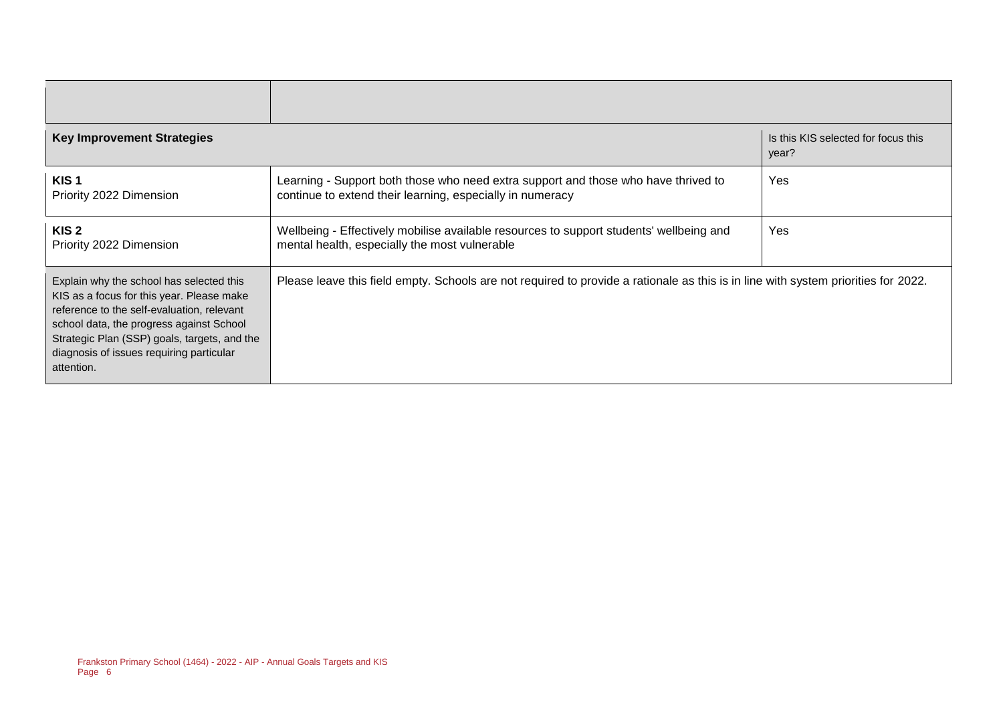| <b>Key Improvement Strategies</b>                                                                                                                                                                                                                                                         |                                                                                                                                                 | Is this KIS selected for focus this<br>year? |
|-------------------------------------------------------------------------------------------------------------------------------------------------------------------------------------------------------------------------------------------------------------------------------------------|-------------------------------------------------------------------------------------------------------------------------------------------------|----------------------------------------------|
| KIS <sub>1</sub><br>Priority 2022 Dimension                                                                                                                                                                                                                                               | Learning - Support both those who need extra support and those who have thrived to<br>continue to extend their learning, especially in numeracy | Yes                                          |
| KIS <sub>2</sub><br>Priority 2022 Dimension                                                                                                                                                                                                                                               | Wellbeing - Effectively mobilise available resources to support students' wellbeing and<br>mental health, especially the most vulnerable        | Yes                                          |
| Explain why the school has selected this<br>KIS as a focus for this year. Please make<br>reference to the self-evaluation, relevant<br>school data, the progress against School<br>Strategic Plan (SSP) goals, targets, and the<br>diagnosis of issues requiring particular<br>attention. | Please leave this field empty. Schools are not required to provide a rationale as this is in line with system priorities for 2022.              |                                              |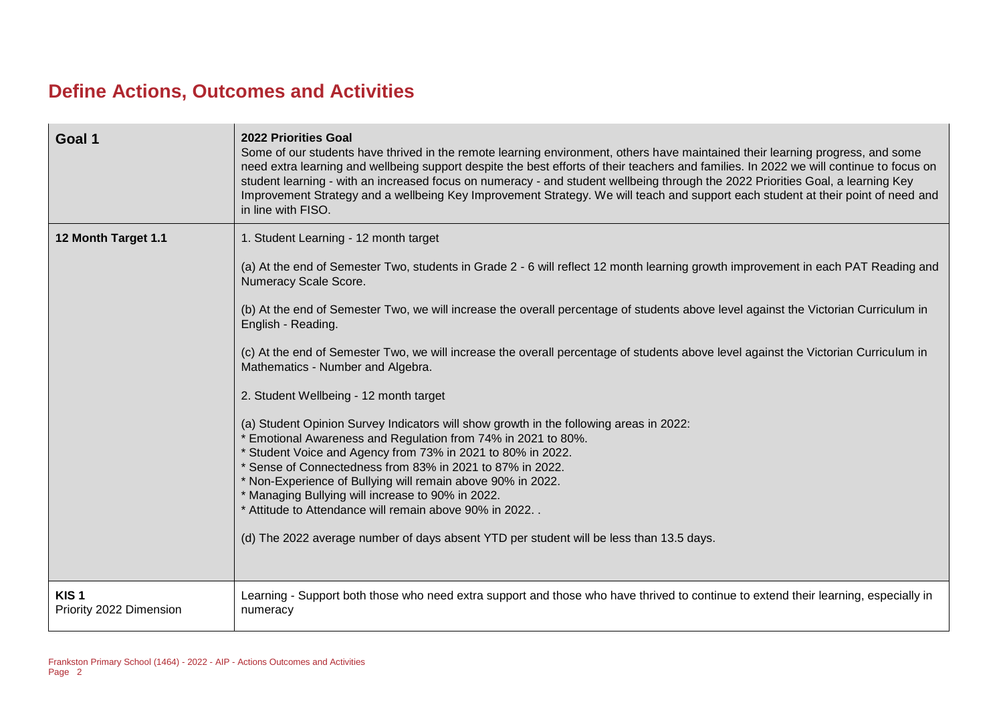### **Define Actions, Outcomes and Activities**

| Goal 1                                      | <b>2022 Priorities Goal</b><br>Some of our students have thrived in the remote learning environment, others have maintained their learning progress, and some<br>need extra learning and wellbeing support despite the best efforts of their teachers and families. In 2022 we will continue to focus on<br>student learning - with an increased focus on numeracy - and student wellbeing through the 2022 Priorities Goal, a learning Key<br>Improvement Strategy and a wellbeing Key Improvement Strategy. We will teach and support each student at their point of need and<br>in line with FISO.                                                                                                                                                                                                                                                                                                                                                                                                                                                                                                                                                |
|---------------------------------------------|------------------------------------------------------------------------------------------------------------------------------------------------------------------------------------------------------------------------------------------------------------------------------------------------------------------------------------------------------------------------------------------------------------------------------------------------------------------------------------------------------------------------------------------------------------------------------------------------------------------------------------------------------------------------------------------------------------------------------------------------------------------------------------------------------------------------------------------------------------------------------------------------------------------------------------------------------------------------------------------------------------------------------------------------------------------------------------------------------------------------------------------------------|
| 12 Month Target 1.1                         | 1. Student Learning - 12 month target<br>(a) At the end of Semester Two, students in Grade 2 - 6 will reflect 12 month learning growth improvement in each PAT Reading and<br>Numeracy Scale Score.<br>(b) At the end of Semester Two, we will increase the overall percentage of students above level against the Victorian Curriculum in<br>English - Reading.<br>(c) At the end of Semester Two, we will increase the overall percentage of students above level against the Victorian Curriculum in<br>Mathematics - Number and Algebra.<br>2. Student Wellbeing - 12 month target<br>(a) Student Opinion Survey Indicators will show growth in the following areas in 2022:<br>* Emotional Awareness and Regulation from 74% in 2021 to 80%.<br>* Student Voice and Agency from 73% in 2021 to 80% in 2022.<br>Sense of Connectedness from 83% in 2021 to 87% in 2022.<br>* Non-Experience of Bullying will remain above 90% in 2022.<br>* Managing Bullying will increase to 90% in 2022.<br>* Attitude to Attendance will remain above 90% in 2022<br>(d) The 2022 average number of days absent YTD per student will be less than 13.5 days. |
| KIS <sub>1</sub><br>Priority 2022 Dimension | Learning - Support both those who need extra support and those who have thrived to continue to extend their learning, especially in<br>numeracy                                                                                                                                                                                                                                                                                                                                                                                                                                                                                                                                                                                                                                                                                                                                                                                                                                                                                                                                                                                                      |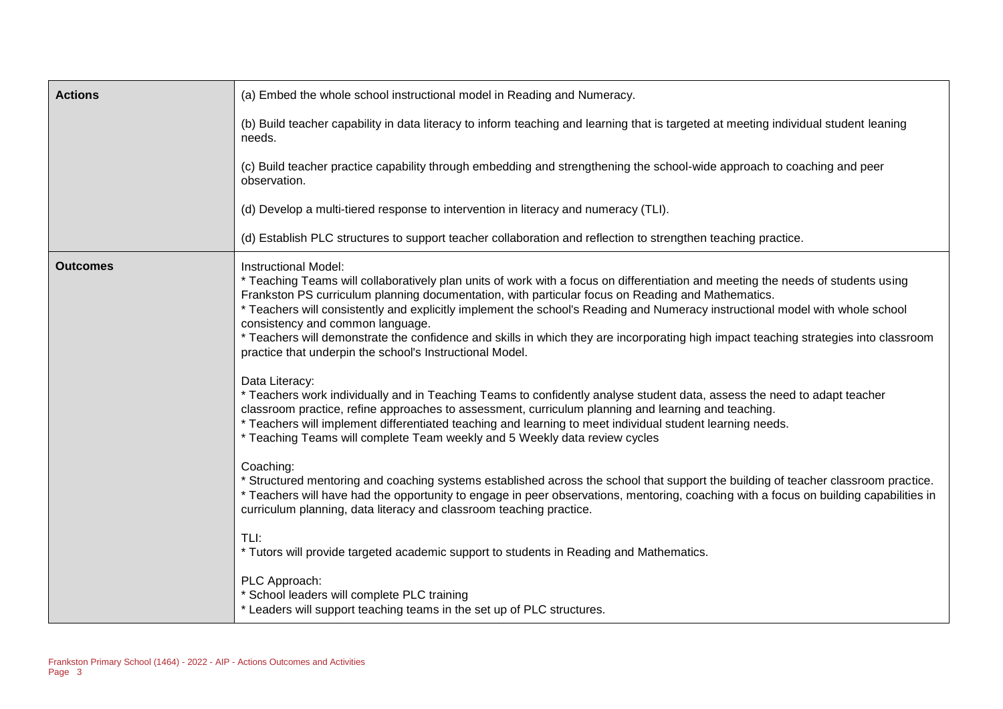| <b>Actions</b>  | (a) Embed the whole school instructional model in Reading and Numeracy.                                                                                                                                                                                                                                                                                                                                                                                                                                                                                                                                                                       |
|-----------------|-----------------------------------------------------------------------------------------------------------------------------------------------------------------------------------------------------------------------------------------------------------------------------------------------------------------------------------------------------------------------------------------------------------------------------------------------------------------------------------------------------------------------------------------------------------------------------------------------------------------------------------------------|
|                 | (b) Build teacher capability in data literacy to inform teaching and learning that is targeted at meeting individual student leaning<br>needs.                                                                                                                                                                                                                                                                                                                                                                                                                                                                                                |
|                 | (c) Build teacher practice capability through embedding and strengthening the school-wide approach to coaching and peer<br>observation.                                                                                                                                                                                                                                                                                                                                                                                                                                                                                                       |
|                 | (d) Develop a multi-tiered response to intervention in literacy and numeracy (TLI).                                                                                                                                                                                                                                                                                                                                                                                                                                                                                                                                                           |
|                 | (d) Establish PLC structures to support teacher collaboration and reflection to strengthen teaching practice.                                                                                                                                                                                                                                                                                                                                                                                                                                                                                                                                 |
| <b>Outcomes</b> | <b>Instructional Model:</b><br>* Teaching Teams will collaboratively plan units of work with a focus on differentiation and meeting the needs of students using<br>Frankston PS curriculum planning documentation, with particular focus on Reading and Mathematics.<br>* Teachers will consistently and explicitly implement the school's Reading and Numeracy instructional model with whole school<br>consistency and common language.<br>* Teachers will demonstrate the confidence and skills in which they are incorporating high impact teaching strategies into classroom<br>practice that underpin the school's Instructional Model. |
|                 | Data Literacy:<br>* Teachers work individually and in Teaching Teams to confidently analyse student data, assess the need to adapt teacher<br>classroom practice, refine approaches to assessment, curriculum planning and learning and teaching.<br>* Teachers will implement differentiated teaching and learning to meet individual student learning needs.<br>* Teaching Teams will complete Team weekly and 5 Weekly data review cycles                                                                                                                                                                                                  |
|                 | Coaching:<br>* Structured mentoring and coaching systems established across the school that support the building of teacher classroom practice.<br>* Teachers will have had the opportunity to engage in peer observations, mentoring, coaching with a focus on building capabilities in<br>curriculum planning, data literacy and classroom teaching practice.                                                                                                                                                                                                                                                                               |
|                 | TLI:<br>* Tutors will provide targeted academic support to students in Reading and Mathematics.                                                                                                                                                                                                                                                                                                                                                                                                                                                                                                                                               |
|                 | PLC Approach:<br>* School leaders will complete PLC training<br>* Leaders will support teaching teams in the set up of PLC structures.                                                                                                                                                                                                                                                                                                                                                                                                                                                                                                        |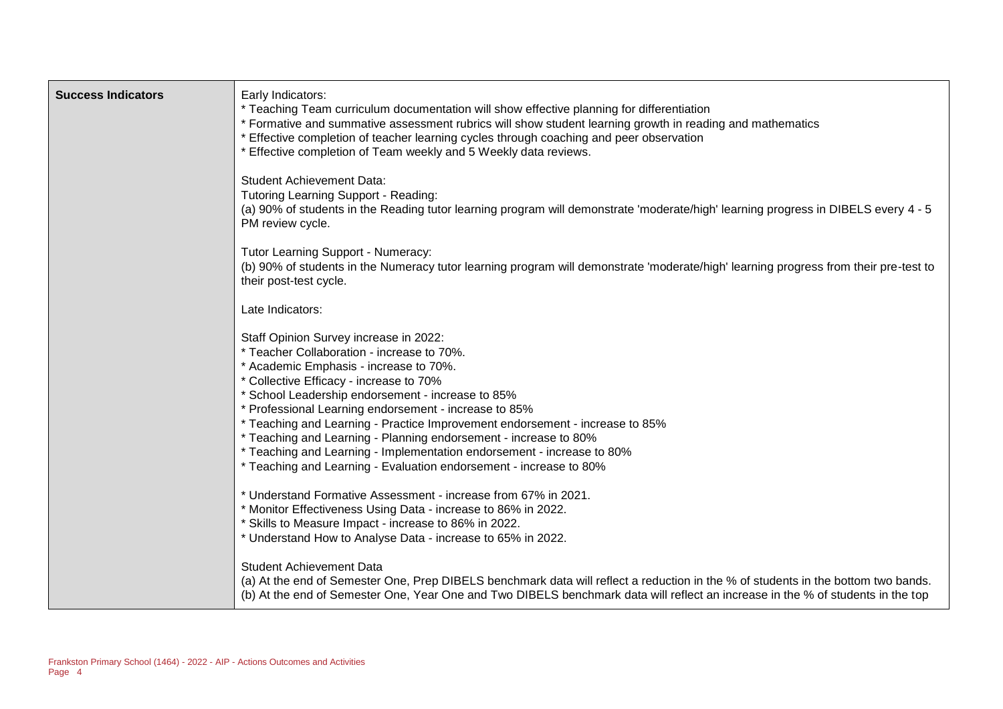| <b>Success Indicators</b> | Early Indicators:<br>* Teaching Team curriculum documentation will show effective planning for differentiation<br>* Formative and summative assessment rubrics will show student learning growth in reading and mathematics<br>* Effective completion of teacher learning cycles through coaching and peer observation<br>* Effective completion of Team weekly and 5 Weekly data reviews.                                                                                                                                                                                                                                                                    |
|---------------------------|---------------------------------------------------------------------------------------------------------------------------------------------------------------------------------------------------------------------------------------------------------------------------------------------------------------------------------------------------------------------------------------------------------------------------------------------------------------------------------------------------------------------------------------------------------------------------------------------------------------------------------------------------------------|
|                           | <b>Student Achievement Data:</b><br><b>Tutoring Learning Support - Reading:</b><br>(a) 90% of students in the Reading tutor learning program will demonstrate 'moderate/high' learning progress in DIBELS every 4 - 5<br>PM review cycle.                                                                                                                                                                                                                                                                                                                                                                                                                     |
|                           | Tutor Learning Support - Numeracy:<br>(b) 90% of students in the Numeracy tutor learning program will demonstrate 'moderate/high' learning progress from their pre-test to<br>their post-test cycle.                                                                                                                                                                                                                                                                                                                                                                                                                                                          |
|                           | Late Indicators:                                                                                                                                                                                                                                                                                                                                                                                                                                                                                                                                                                                                                                              |
|                           | Staff Opinion Survey increase in 2022:<br>* Teacher Collaboration - increase to 70%.<br>* Academic Emphasis - increase to 70%.<br>* Collective Efficacy - increase to 70%<br>* School Leadership endorsement - increase to 85%<br>* Professional Learning endorsement - increase to 85%<br>* Teaching and Learning - Practice Improvement endorsement - increase to 85%<br>* Teaching and Learning - Planning endorsement - increase to 80%<br>* Teaching and Learning - Implementation endorsement - increase to 80%<br>* Teaching and Learning - Evaluation endorsement - increase to 80%<br>* Understand Formative Assessment - increase from 67% in 2021. |
|                           | * Monitor Effectiveness Using Data - increase to 86% in 2022.<br>* Skills to Measure Impact - increase to 86% in 2022.<br>* Understand How to Analyse Data - increase to 65% in 2022.                                                                                                                                                                                                                                                                                                                                                                                                                                                                         |
|                           | <b>Student Achievement Data</b><br>(a) At the end of Semester One, Prep DIBELS benchmark data will reflect a reduction in the % of students in the bottom two bands.<br>(b) At the end of Semester One, Year One and Two DIBELS benchmark data will reflect an increase in the % of students in the top                                                                                                                                                                                                                                                                                                                                                       |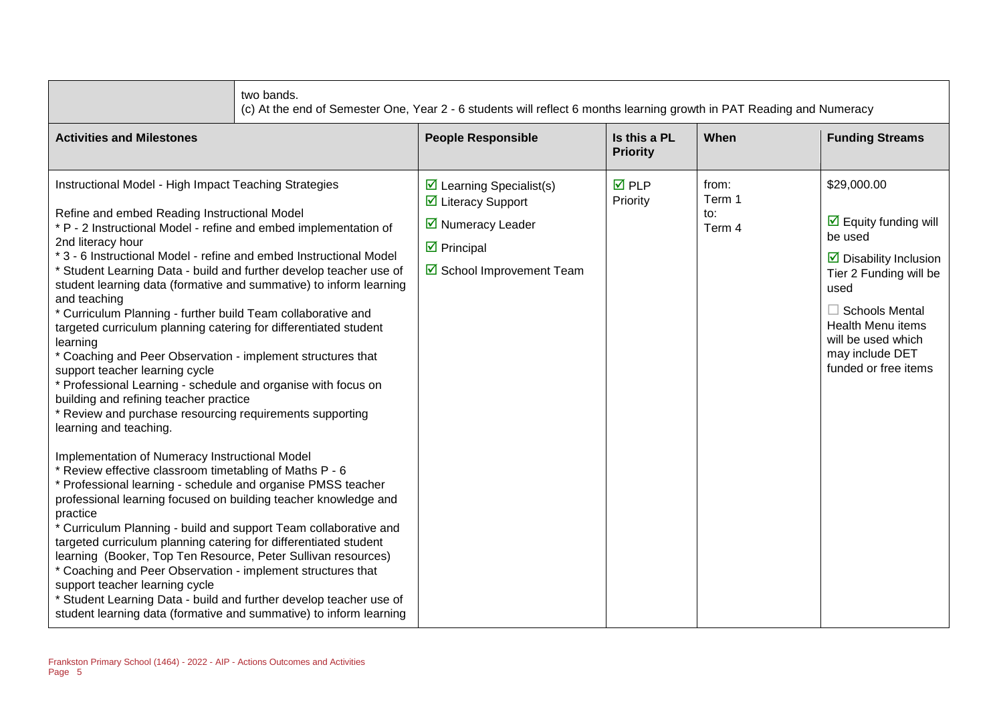|                                                                                                                                                                                                                                                                                                                                                                                                                                                                                                                                                                                                                                                                                                                                                                                                                                                                                                                                                                                                                                                                                                                                                                                                                                                                                                                                                                                                                                                                                                                                                                                                      | two bands.<br>(c) At the end of Semester One, Year 2 - 6 students will reflect 6 months learning growth in PAT Reading and Numeracy |                                                                                                                                                                     |                                 |                                  |                                                                                                                                                                                                                                                                 |
|------------------------------------------------------------------------------------------------------------------------------------------------------------------------------------------------------------------------------------------------------------------------------------------------------------------------------------------------------------------------------------------------------------------------------------------------------------------------------------------------------------------------------------------------------------------------------------------------------------------------------------------------------------------------------------------------------------------------------------------------------------------------------------------------------------------------------------------------------------------------------------------------------------------------------------------------------------------------------------------------------------------------------------------------------------------------------------------------------------------------------------------------------------------------------------------------------------------------------------------------------------------------------------------------------------------------------------------------------------------------------------------------------------------------------------------------------------------------------------------------------------------------------------------------------------------------------------------------------|-------------------------------------------------------------------------------------------------------------------------------------|---------------------------------------------------------------------------------------------------------------------------------------------------------------------|---------------------------------|----------------------------------|-----------------------------------------------------------------------------------------------------------------------------------------------------------------------------------------------------------------------------------------------------------------|
| <b>Activities and Milestones</b>                                                                                                                                                                                                                                                                                                                                                                                                                                                                                                                                                                                                                                                                                                                                                                                                                                                                                                                                                                                                                                                                                                                                                                                                                                                                                                                                                                                                                                                                                                                                                                     |                                                                                                                                     | <b>People Responsible</b>                                                                                                                                           | Is this a PL<br><b>Priority</b> | When                             | <b>Funding Streams</b>                                                                                                                                                                                                                                          |
| Instructional Model - High Impact Teaching Strategies<br>Refine and embed Reading Instructional Model<br>* P - 2 Instructional Model - refine and embed implementation of<br>2nd literacy hour<br>* 3 - 6 Instructional Model - refine and embed Instructional Model<br>* Student Learning Data - build and further develop teacher use of<br>student learning data (formative and summative) to inform learning<br>and teaching<br>* Curriculum Planning - further build Team collaborative and<br>targeted curriculum planning catering for differentiated student<br>learning<br>* Coaching and Peer Observation - implement structures that<br>support teacher learning cycle<br>* Professional Learning - schedule and organise with focus on<br>building and refining teacher practice<br>* Review and purchase resourcing requirements supporting<br>learning and teaching.<br>Implementation of Numeracy Instructional Model<br>* Review effective classroom timetabling of Maths P - 6<br>* Professional learning - schedule and organise PMSS teacher<br>professional learning focused on building teacher knowledge and<br>practice<br>* Curriculum Planning - build and support Team collaborative and<br>targeted curriculum planning catering for differentiated student<br>learning (Booker, Top Ten Resource, Peter Sullivan resources)<br>* Coaching and Peer Observation - implement structures that<br>support teacher learning cycle<br>* Student Learning Data - build and further develop teacher use of<br>student learning data (formative and summative) to inform learning |                                                                                                                                     | $\triangleright$ Learning Specialist(s)<br>$\overline{\mathbf{M}}$ Literacy Support<br>■ Numeracy Leader<br>$\triangleright$ Principal<br>☑ School Improvement Team | $\overline{M}$ PLP<br>Priority  | from:<br>Term 1<br>to:<br>Term 4 | \$29,000.00<br>$\triangleright$ Equity funding will<br>be used<br>$\triangleright$ Disability Inclusion<br>Tier 2 Funding will be<br>used<br>$\Box$ Schools Mental<br><b>Health Menu items</b><br>will be used which<br>may include DET<br>funded or free items |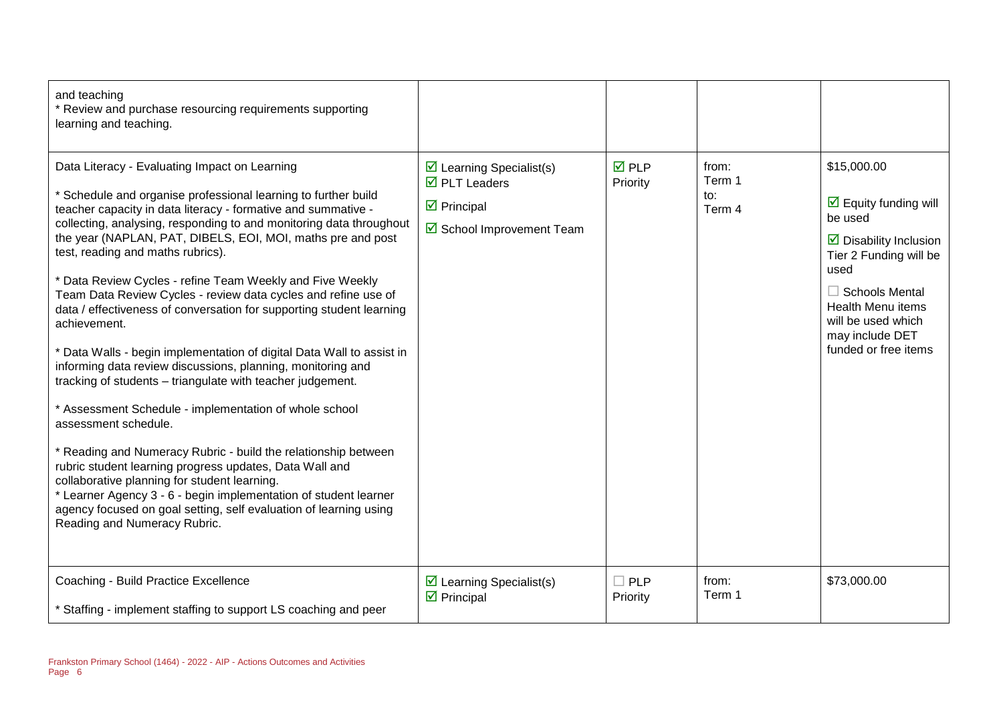| and teaching<br>* Review and purchase resourcing requirements supporting<br>learning and teaching.                                                                                                                                                                                                                                                                                                                                                                                                                                                                                                                                                                                                                                                                                                                                                                                                                                                                                                                                                                                                                                                                                                                               |                                                                                                                                         |                                |                                  |                                                                                                                                                                                                                                                                        |
|----------------------------------------------------------------------------------------------------------------------------------------------------------------------------------------------------------------------------------------------------------------------------------------------------------------------------------------------------------------------------------------------------------------------------------------------------------------------------------------------------------------------------------------------------------------------------------------------------------------------------------------------------------------------------------------------------------------------------------------------------------------------------------------------------------------------------------------------------------------------------------------------------------------------------------------------------------------------------------------------------------------------------------------------------------------------------------------------------------------------------------------------------------------------------------------------------------------------------------|-----------------------------------------------------------------------------------------------------------------------------------------|--------------------------------|----------------------------------|------------------------------------------------------------------------------------------------------------------------------------------------------------------------------------------------------------------------------------------------------------------------|
| Data Literacy - Evaluating Impact on Learning<br>* Schedule and organise professional learning to further build<br>teacher capacity in data literacy - formative and summative -<br>collecting, analysing, responding to and monitoring data throughout<br>the year (NAPLAN, PAT, DIBELS, EOI, MOI, maths pre and post<br>test, reading and maths rubrics).<br>* Data Review Cycles - refine Team Weekly and Five Weekly<br>Team Data Review Cycles - review data cycles and refine use of<br>data / effectiveness of conversation for supporting student learning<br>achievement.<br>* Data Walls - begin implementation of digital Data Wall to assist in<br>informing data review discussions, planning, monitoring and<br>tracking of students - triangulate with teacher judgement.<br>* Assessment Schedule - implementation of whole school<br>assessment schedule.<br>* Reading and Numeracy Rubric - build the relationship between<br>rubric student learning progress updates, Data Wall and<br>collaborative planning for student learning.<br>* Learner Agency 3 - 6 - begin implementation of student learner<br>agency focused on goal setting, self evaluation of learning using<br>Reading and Numeracy Rubric. | $\triangleright$ Learning Specialist(s)<br>$\overline{\mathbf{M}}$ PLT Leaders<br>$\triangleright$ Principal<br>School Improvement Team | $\overline{M}$ PLP<br>Priority | from:<br>Term 1<br>to:<br>Term 4 | \$15,000.00<br>$\overline{\mathbf{M}}$ Equity funding will<br>be used<br>$\triangleright$ Disability Inclusion<br>Tier 2 Funding will be<br>used<br>$\Box$ Schools Mental<br><b>Health Menu items</b><br>will be used which<br>may include DET<br>funded or free items |
| Coaching - Build Practice Excellence<br>* Staffing - implement staffing to support LS coaching and peer                                                                                                                                                                                                                                                                                                                                                                                                                                                                                                                                                                                                                                                                                                                                                                                                                                                                                                                                                                                                                                                                                                                          | $\triangleright$ Learning Specialist(s)<br>$\triangleright$ Principal                                                                   | $\Box$ PLP<br>Priority         | from:<br>Term 1                  | \$73,000.00                                                                                                                                                                                                                                                            |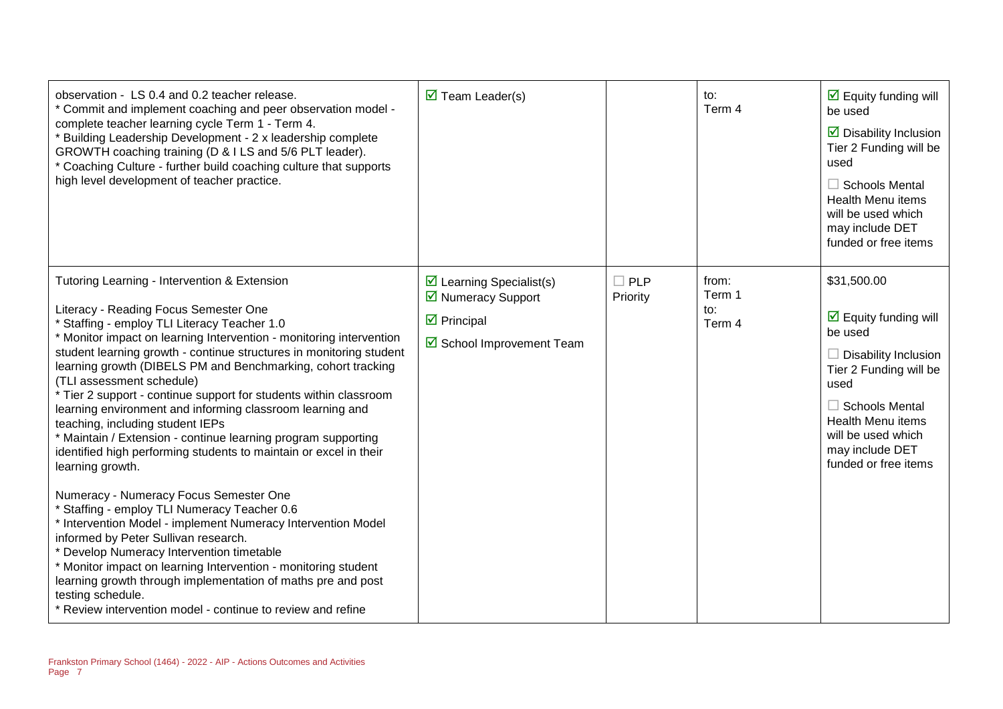| observation - LS 0.4 and 0.2 teacher release.<br>* Commit and implement coaching and peer observation model -<br>complete teacher learning cycle Term 1 - Term 4.<br>* Building Leadership Development - 2 x leadership complete<br>GROWTH coaching training (D & I LS and 5/6 PLT leader).<br>* Coaching Culture - further build coaching culture that supports<br>high level development of teacher practice.                                                                                                                                                                                                                                                                                                                                                                                                                                                                                                                                                                                                                                                                                                                                                                       | $\overline{\mathbf{M}}$ Team Leader(s)                                                                                 |                           | to:<br>Term 4                    | $\boxtimes$ Equity funding will<br>be used<br>$\triangleright$ Disability Inclusion<br>Tier 2 Funding will be<br>used<br>$\Box$ Schools Mental<br><b>Health Menu items</b><br>will be used which<br>may include DET<br>funded or free items |
|---------------------------------------------------------------------------------------------------------------------------------------------------------------------------------------------------------------------------------------------------------------------------------------------------------------------------------------------------------------------------------------------------------------------------------------------------------------------------------------------------------------------------------------------------------------------------------------------------------------------------------------------------------------------------------------------------------------------------------------------------------------------------------------------------------------------------------------------------------------------------------------------------------------------------------------------------------------------------------------------------------------------------------------------------------------------------------------------------------------------------------------------------------------------------------------|------------------------------------------------------------------------------------------------------------------------|---------------------------|----------------------------------|---------------------------------------------------------------------------------------------------------------------------------------------------------------------------------------------------------------------------------------------|
| Tutoring Learning - Intervention & Extension<br>Literacy - Reading Focus Semester One<br>* Staffing - employ TLI Literacy Teacher 1.0<br>* Monitor impact on learning Intervention - monitoring intervention<br>student learning growth - continue structures in monitoring student<br>learning growth (DIBELS PM and Benchmarking, cohort tracking<br>(TLI assessment schedule)<br>* Tier 2 support - continue support for students within classroom<br>learning environment and informing classroom learning and<br>teaching, including student IEPs<br>* Maintain / Extension - continue learning program supporting<br>identified high performing students to maintain or excel in their<br>learning growth.<br>Numeracy - Numeracy Focus Semester One<br>* Staffing - employ TLI Numeracy Teacher 0.6<br>* Intervention Model - implement Numeracy Intervention Model<br>informed by Peter Sullivan research.<br>* Develop Numeracy Intervention timetable<br>* Monitor impact on learning Intervention - monitoring student<br>learning growth through implementation of maths pre and post<br>testing schedule.<br>* Review intervention model - continue to review and refine | $\triangleright$ Learning Specialist(s)<br>☑ Numeracy Support<br>$\triangleright$ Principal<br>School Improvement Team | $\square$ PLP<br>Priority | from:<br>Term 1<br>to:<br>Term 4 | \$31,500.00<br>$\boxdot$ Equity funding will<br>be used<br>$\Box$ Disability Inclusion<br>Tier 2 Funding will be<br>used<br>$\Box$ Schools Mental<br>Health Menu items<br>will be used which<br>may include DET<br>funded or free items     |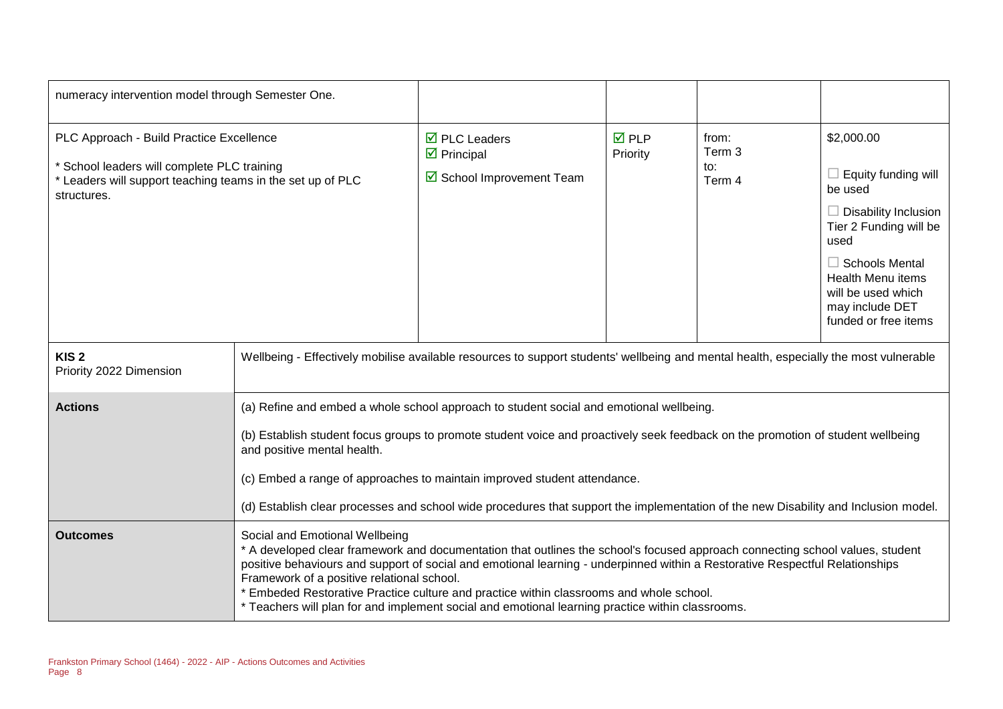| numeracy intervention model through Semester One.                                                                                                                    |                                                                                                                                                                                                                                                                                                                                                                                                                                                                                                                                            |                                                                                             |                                |                                  |                                                                                                                                                                                                                                            |
|----------------------------------------------------------------------------------------------------------------------------------------------------------------------|--------------------------------------------------------------------------------------------------------------------------------------------------------------------------------------------------------------------------------------------------------------------------------------------------------------------------------------------------------------------------------------------------------------------------------------------------------------------------------------------------------------------------------------------|---------------------------------------------------------------------------------------------|--------------------------------|----------------------------------|--------------------------------------------------------------------------------------------------------------------------------------------------------------------------------------------------------------------------------------------|
| PLC Approach - Build Practice Excellence<br>* School leaders will complete PLC training<br>* Leaders will support teaching teams in the set up of PLC<br>structures. |                                                                                                                                                                                                                                                                                                                                                                                                                                                                                                                                            | $\overline{\boxtimes}$ PLC Leaders<br>$\triangleright$ Principal<br>School Improvement Team | $\overline{M}$ PLP<br>Priority | from:<br>Term 3<br>to:<br>Term 4 | \$2,000.00<br>$\Box$ Equity funding will<br>be used<br>$\Box$ Disability Inclusion<br>Tier 2 Funding will be<br>used<br>$\Box$ Schools Mental<br><b>Health Menu items</b><br>will be used which<br>may include DET<br>funded or free items |
| KIS <sub>2</sub><br>Priority 2022 Dimension                                                                                                                          | Wellbeing - Effectively mobilise available resources to support students' wellbeing and mental health, especially the most vulnerable                                                                                                                                                                                                                                                                                                                                                                                                      |                                                                                             |                                |                                  |                                                                                                                                                                                                                                            |
| <b>Actions</b>                                                                                                                                                       | (a) Refine and embed a whole school approach to student social and emotional wellbeing.<br>(b) Establish student focus groups to promote student voice and proactively seek feedback on the promotion of student wellbeing<br>and positive mental health.<br>(c) Embed a range of approaches to maintain improved student attendance.<br>(d) Establish clear processes and school wide procedures that support the implementation of the new Disability and Inclusion model.                                                               |                                                                                             |                                |                                  |                                                                                                                                                                                                                                            |
| <b>Outcomes</b>                                                                                                                                                      | Social and Emotional Wellbeing<br>* A developed clear framework and documentation that outlines the school's focused approach connecting school values, student<br>positive behaviours and support of social and emotional learning - underpinned within a Restorative Respectful Relationships<br>Framework of a positive relational school.<br>Embeded Restorative Practice culture and practice within classrooms and whole school.<br>* Teachers will plan for and implement social and emotional learning practice within classrooms. |                                                                                             |                                |                                  |                                                                                                                                                                                                                                            |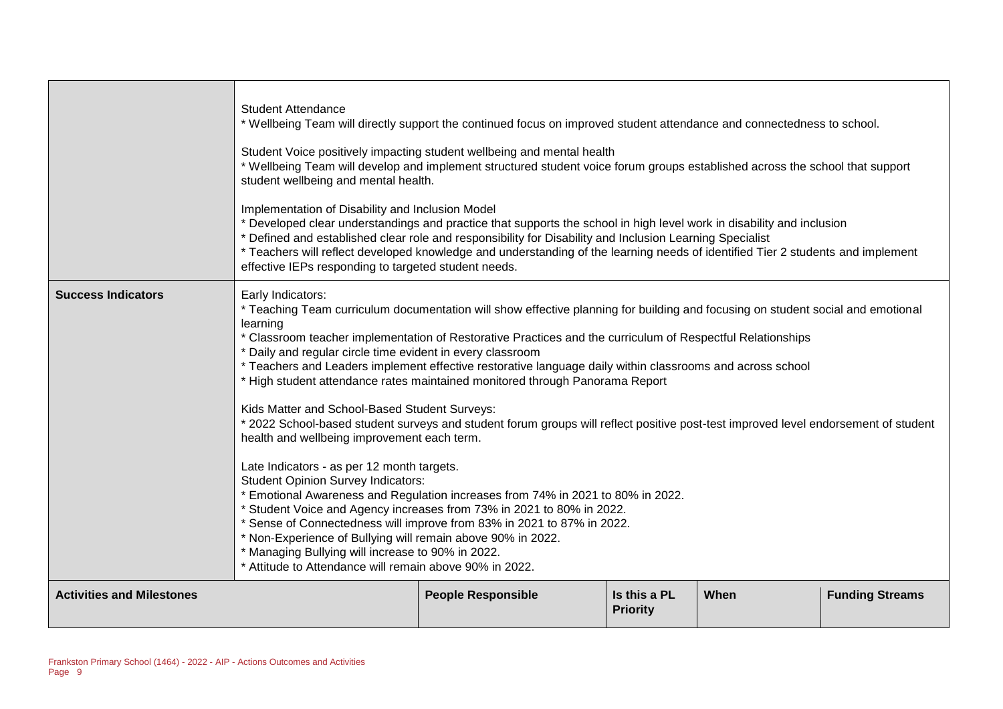|                                  | <b>Student Attendance</b><br>* Wellbeing Team will directly support the continued focus on improved student attendance and connectedness to school.<br>Student Voice positively impacting student wellbeing and mental health<br>* Wellbeing Team will develop and implement structured student voice forum groups established across the school that support<br>student wellbeing and mental health.<br>Implementation of Disability and Inclusion Model<br>* Developed clear understandings and practice that supports the school in high level work in disability and inclusion<br>* Defined and established clear role and responsibility for Disability and Inclusion Learning Specialist<br>* Teachers will reflect developed knowledge and understanding of the learning needs of identified Tier 2 students and implement<br>effective IEPs responding to targeted student needs.                                                                                                                                                                                                                                                                                                                                            |                           |                                 |      |                        |
|----------------------------------|--------------------------------------------------------------------------------------------------------------------------------------------------------------------------------------------------------------------------------------------------------------------------------------------------------------------------------------------------------------------------------------------------------------------------------------------------------------------------------------------------------------------------------------------------------------------------------------------------------------------------------------------------------------------------------------------------------------------------------------------------------------------------------------------------------------------------------------------------------------------------------------------------------------------------------------------------------------------------------------------------------------------------------------------------------------------------------------------------------------------------------------------------------------------------------------------------------------------------------------|---------------------------|---------------------------------|------|------------------------|
| <b>Success Indicators</b>        | Early Indicators:<br>* Teaching Team curriculum documentation will show effective planning for building and focusing on student social and emotional<br>learning<br>* Classroom teacher implementation of Restorative Practices and the curriculum of Respectful Relationships<br>* Daily and regular circle time evident in every classroom<br>* Teachers and Leaders implement effective restorative language daily within classrooms and across school<br>* High student attendance rates maintained monitored through Panorama Report<br>Kids Matter and School-Based Student Surveys:<br>* 2022 School-based student surveys and student forum groups will reflect positive post-test improved level endorsement of student<br>health and wellbeing improvement each term.<br>Late Indicators - as per 12 month targets.<br><b>Student Opinion Survey Indicators:</b><br>* Emotional Awareness and Regulation increases from 74% in 2021 to 80% in 2022.<br>* Student Voice and Agency increases from 73% in 2021 to 80% in 2022.<br>* Sense of Connectedness will improve from 83% in 2021 to 87% in 2022.<br>* Non-Experience of Bullying will remain above 90% in 2022.<br>* Managing Bullying will increase to 90% in 2022. |                           |                                 |      |                        |
| <b>Activities and Milestones</b> |                                                                                                                                                                                                                                                                                                                                                                                                                                                                                                                                                                                                                                                                                                                                                                                                                                                                                                                                                                                                                                                                                                                                                                                                                                      | <b>People Responsible</b> | Is this a PL<br><b>Priority</b> | When | <b>Funding Streams</b> |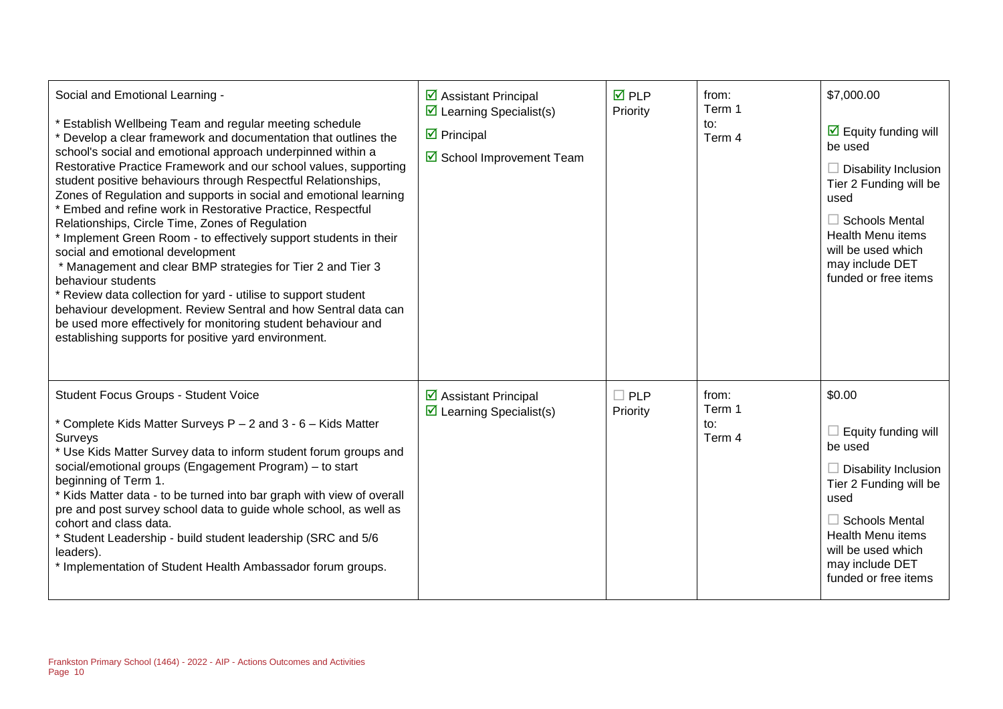| Social and Emotional Learning -<br>Establish Wellbeing Team and regular meeting schedule<br>Develop a clear framework and documentation that outlines the<br>school's social and emotional approach underpinned within a<br>Restorative Practice Framework and our school values, supporting<br>student positive behaviours through Respectful Relationships,<br>Zones of Regulation and supports in social and emotional learning<br>Embed and refine work in Restorative Practice, Respectful<br>Relationships, Circle Time, Zones of Regulation<br>* Implement Green Room - to effectively support students in their<br>social and emotional development<br>* Management and clear BMP strategies for Tier 2 and Tier 3<br>behaviour students<br>* Review data collection for yard - utilise to support student<br>behaviour development. Review Sentral and how Sentral data can<br>be used more effectively for monitoring student behaviour and<br>establishing supports for positive yard environment. | ☑ Assistant Principal<br>$\triangleright$ Learning Specialist(s)<br>$\triangleright$ Principal<br>School Improvement Team | $\overline{M}$ PLP<br>Priority | from:<br>Term 1<br>to:<br>Term 4 | \$7,000.00<br>$\triangleright$ Equity funding will<br>be used<br>$\Box$ Disability Inclusion<br>Tier 2 Funding will be<br>used<br>$\Box$ Schools Mental<br><b>Health Menu items</b><br>will be used which<br>may include DET<br>funded or free items |
|---------------------------------------------------------------------------------------------------------------------------------------------------------------------------------------------------------------------------------------------------------------------------------------------------------------------------------------------------------------------------------------------------------------------------------------------------------------------------------------------------------------------------------------------------------------------------------------------------------------------------------------------------------------------------------------------------------------------------------------------------------------------------------------------------------------------------------------------------------------------------------------------------------------------------------------------------------------------------------------------------------------|---------------------------------------------------------------------------------------------------------------------------|--------------------------------|----------------------------------|------------------------------------------------------------------------------------------------------------------------------------------------------------------------------------------------------------------------------------------------------|
| Student Focus Groups - Student Voice<br>* Complete Kids Matter Surveys P - 2 and 3 - 6 - Kids Matter<br>Surveys<br>* Use Kids Matter Survey data to inform student forum groups and<br>social/emotional groups (Engagement Program) - to start<br>beginning of Term 1.<br>* Kids Matter data - to be turned into bar graph with view of overall<br>pre and post survey school data to guide whole school, as well as<br>cohort and class data.<br>* Student Leadership - build student leadership (SRC and 5/6<br>leaders).<br>* Implementation of Student Health Ambassador forum groups.                                                                                                                                                                                                                                                                                                                                                                                                                    | ☑ Assistant Principal<br>$\triangleright$ Learning Specialist(s)                                                          | $\Box$ PLP<br>Priority         | from:<br>Term 1<br>to:<br>Term 4 | \$0.00<br>Equity funding will<br>be used<br>$\Box$ Disability Inclusion<br>Tier 2 Funding will be<br>used<br>$\Box$ Schools Mental<br><b>Health Menu items</b><br>will be used which<br>may include DET<br>funded or free items                      |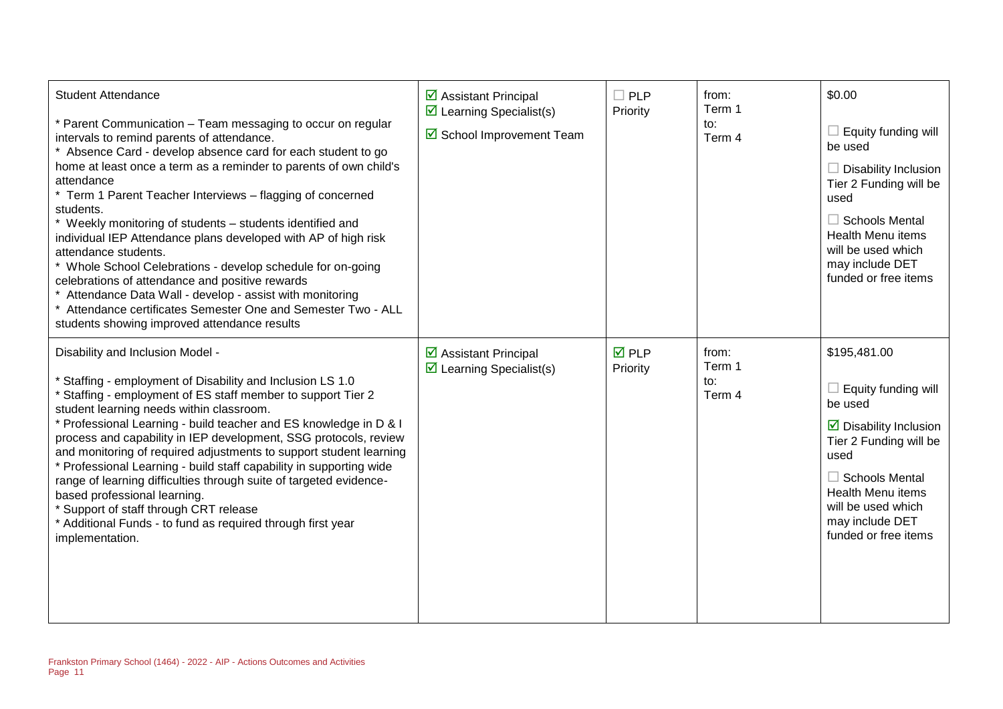| <b>Student Attendance</b><br>* Parent Communication - Team messaging to occur on regular<br>intervals to remind parents of attendance.<br>* Absence Card - develop absence card for each student to go<br>home at least once a term as a reminder to parents of own child's<br>attendance<br>* Term 1 Parent Teacher Interviews - flagging of concerned<br>students.<br>* Weekly monitoring of students - students identified and<br>individual IEP Attendance plans developed with AP of high risk<br>attendance students.<br>* Whole School Celebrations - develop schedule for on-going<br>celebrations of attendance and positive rewards<br>Attendance Data Wall - develop - assist with monitoring<br>* Attendance certificates Semester One and Semester Two - ALL<br>students showing improved attendance results | ☑ Assistant Principal<br>$\triangleright$ Learning Specialist(s)<br>School Improvement Team | $\Box$ PLP<br>Priority   | from:<br>Term 1<br>to:<br>Term 4 | \$0.00<br>$\Box$ Equity funding will<br>be used<br>$\Box$ Disability Inclusion<br>Tier 2 Funding will be<br>used<br>$\Box$ Schools Mental<br><b>Health Menu items</b><br>will be used which<br>may include DET<br>funded or free items   |
|---------------------------------------------------------------------------------------------------------------------------------------------------------------------------------------------------------------------------------------------------------------------------------------------------------------------------------------------------------------------------------------------------------------------------------------------------------------------------------------------------------------------------------------------------------------------------------------------------------------------------------------------------------------------------------------------------------------------------------------------------------------------------------------------------------------------------|---------------------------------------------------------------------------------------------|--------------------------|----------------------------------|------------------------------------------------------------------------------------------------------------------------------------------------------------------------------------------------------------------------------------------|
| Disability and Inclusion Model -<br>* Staffing - employment of Disability and Inclusion LS 1.0<br>* Staffing - employment of ES staff member to support Tier 2<br>student learning needs within classroom.<br>* Professional Learning - build teacher and ES knowledge in D & I<br>process and capability in IEP development, SSG protocols, review<br>and monitoring of required adjustments to support student learning<br>* Professional Learning - build staff capability in supporting wide<br>range of learning difficulties through suite of targeted evidence-<br>based professional learning.<br>* Support of staff through CRT release<br>* Additional Funds - to fund as required through first year<br>implementation.                                                                                        | $\triangleright$ Assistant Principal<br>$\triangleright$ Learning Specialist(s)             | $\nabla$ PLP<br>Priority | from:<br>Term 1<br>to:<br>Term 4 | \$195,481.00<br>Equity funding will<br>be used<br>$\triangleright$ Disability Inclusion<br>Tier 2 Funding will be<br>used<br>$\Box$ Schools Mental<br>Health Menu items<br>will be used which<br>may include DET<br>funded or free items |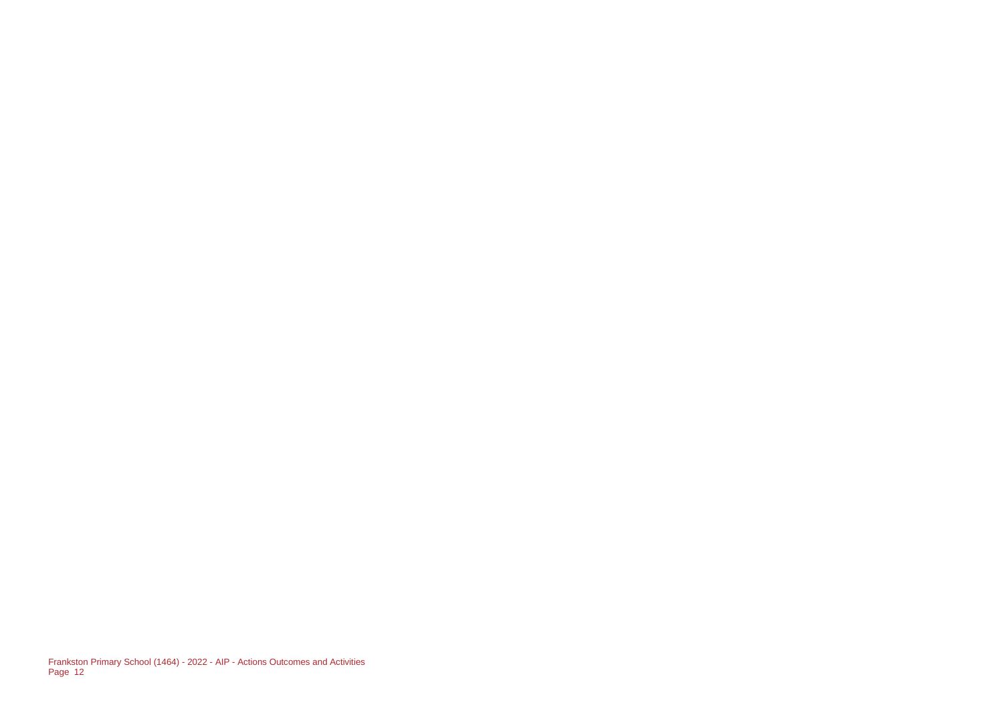Frankston Primary School (1464) - 2022 - AIP - Actions Outcomes and Activities Page 12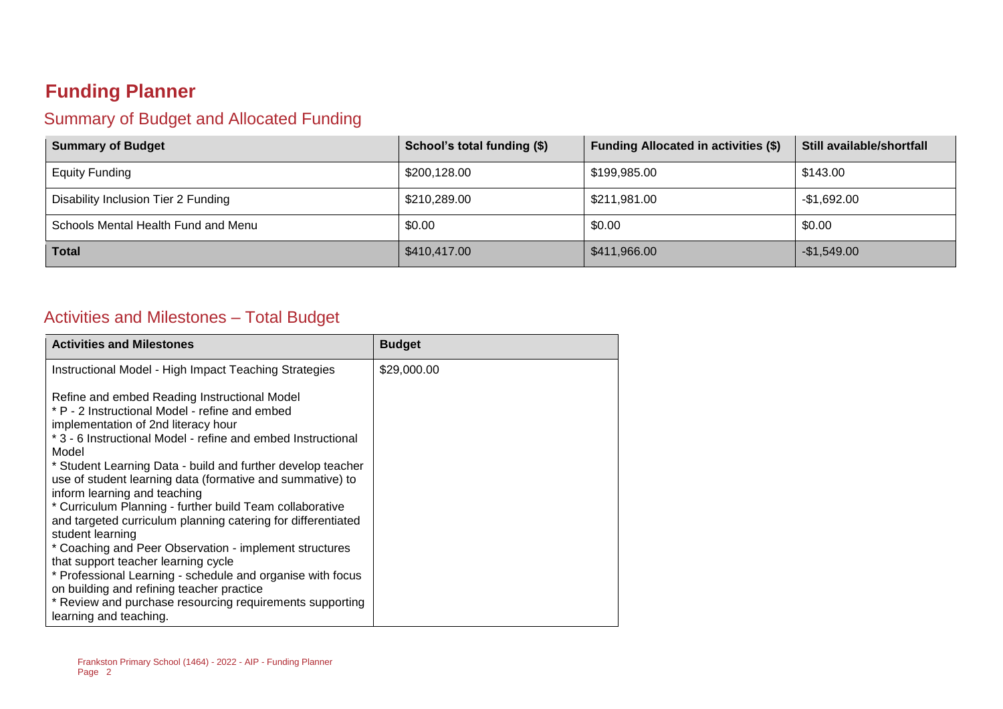### **Funding Planner**

### Summary of Budget and Allocated Funding

| <b>Summary of Budget</b>            | School's total funding (\$) | <b>Funding Allocated in activities (\$)</b> | Still available/shortfall |
|-------------------------------------|-----------------------------|---------------------------------------------|---------------------------|
| <b>Equity Funding</b>               | \$200,128.00                | \$199,985.00                                | \$143.00                  |
| Disability Inclusion Tier 2 Funding | \$210,289.00                | \$211,981.00                                | $-$1,692.00$              |
| Schools Mental Health Fund and Menu | \$0.00                      | \$0.00                                      | \$0.00                    |
| <b>Total</b>                        | \$410,417.00                | \$411,966.00                                | $-$1,549.00$              |

### Activities and Milestones – Total Budget

| <b>Activities and Milestones</b>                                                                                                                                                                                                                                                                                                                                                                                                                                                                                                                                                                                                                                                                                                                                                                                             | <b>Budget</b> |
|------------------------------------------------------------------------------------------------------------------------------------------------------------------------------------------------------------------------------------------------------------------------------------------------------------------------------------------------------------------------------------------------------------------------------------------------------------------------------------------------------------------------------------------------------------------------------------------------------------------------------------------------------------------------------------------------------------------------------------------------------------------------------------------------------------------------------|---------------|
| Instructional Model - High Impact Teaching Strategies                                                                                                                                                                                                                                                                                                                                                                                                                                                                                                                                                                                                                                                                                                                                                                        | \$29,000.00   |
| Refine and embed Reading Instructional Model<br>* P - 2 Instructional Model - refine and embed<br>implementation of 2nd literacy hour<br>* 3 - 6 Instructional Model - refine and embed Instructional<br>Model<br>* Student Learning Data - build and further develop teacher<br>use of student learning data (formative and summative) to<br>inform learning and teaching<br>* Curriculum Planning - further build Team collaborative<br>and targeted curriculum planning catering for differentiated<br>student learning<br>* Coaching and Peer Observation - implement structures<br>that support teacher learning cycle<br>* Professional Learning - schedule and organise with focus<br>on building and refining teacher practice<br>* Review and purchase resourcing requirements supporting<br>learning and teaching. |               |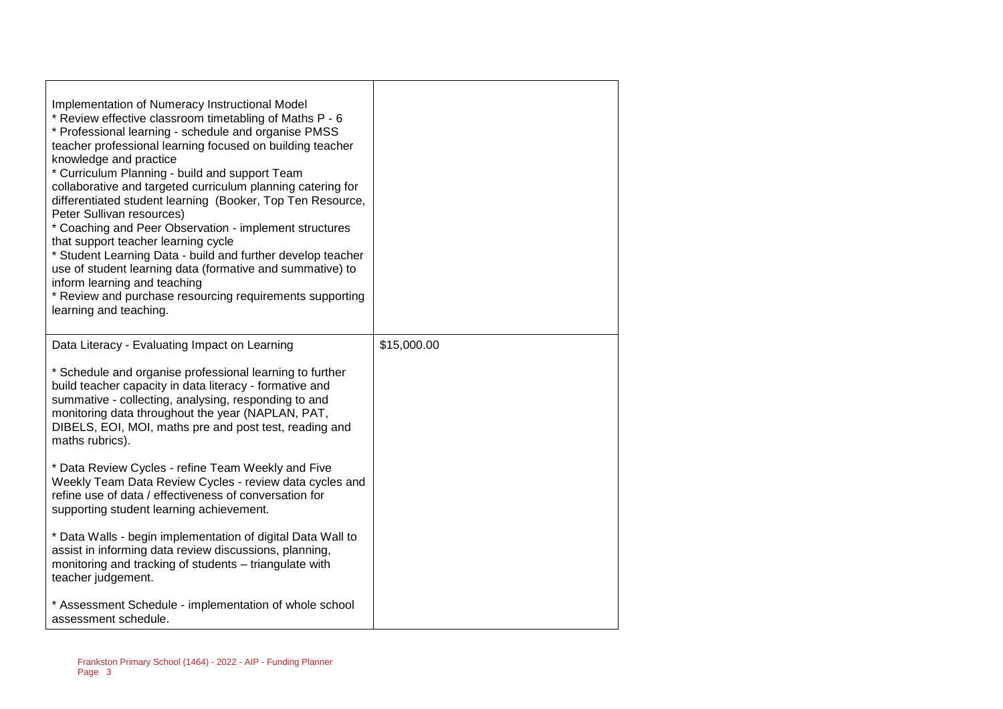| Implementation of Numeracy Instructional Model<br>* Review effective classroom timetabling of Maths P - 6<br>* Professional learning - schedule and organise PMSS<br>teacher professional learning focused on building teacher<br>knowledge and practice<br>* Curriculum Planning - build and support Team<br>collaborative and targeted curriculum planning catering for<br>differentiated student learning (Booker, Top Ten Resource,<br>Peter Sullivan resources)<br>* Coaching and Peer Observation - implement structures<br>that support teacher learning cycle<br>* Student Learning Data - build and further develop teacher<br>use of student learning data (formative and summative) to<br>inform learning and teaching<br>* Review and purchase resourcing requirements supporting<br>learning and teaching. |             |
|-------------------------------------------------------------------------------------------------------------------------------------------------------------------------------------------------------------------------------------------------------------------------------------------------------------------------------------------------------------------------------------------------------------------------------------------------------------------------------------------------------------------------------------------------------------------------------------------------------------------------------------------------------------------------------------------------------------------------------------------------------------------------------------------------------------------------|-------------|
| Data Literacy - Evaluating Impact on Learning                                                                                                                                                                                                                                                                                                                                                                                                                                                                                                                                                                                                                                                                                                                                                                           | \$15,000.00 |
| * Schedule and organise professional learning to further<br>build teacher capacity in data literacy - formative and<br>summative - collecting, analysing, responding to and<br>monitoring data throughout the year (NAPLAN, PAT,<br>DIBELS, EOI, MOI, maths pre and post test, reading and<br>maths rubrics).                                                                                                                                                                                                                                                                                                                                                                                                                                                                                                           |             |
| * Data Review Cycles - refine Team Weekly and Five<br>Weekly Team Data Review Cycles - review data cycles and<br>refine use of data / effectiveness of conversation for<br>supporting student learning achievement.                                                                                                                                                                                                                                                                                                                                                                                                                                                                                                                                                                                                     |             |
| * Data Walls - begin implementation of digital Data Wall to<br>assist in informing data review discussions, planning,<br>monitoring and tracking of students - triangulate with<br>teacher judgement.                                                                                                                                                                                                                                                                                                                                                                                                                                                                                                                                                                                                                   |             |
| * Assessment Schedule - implementation of whole school<br>assessment schedule.                                                                                                                                                                                                                                                                                                                                                                                                                                                                                                                                                                                                                                                                                                                                          |             |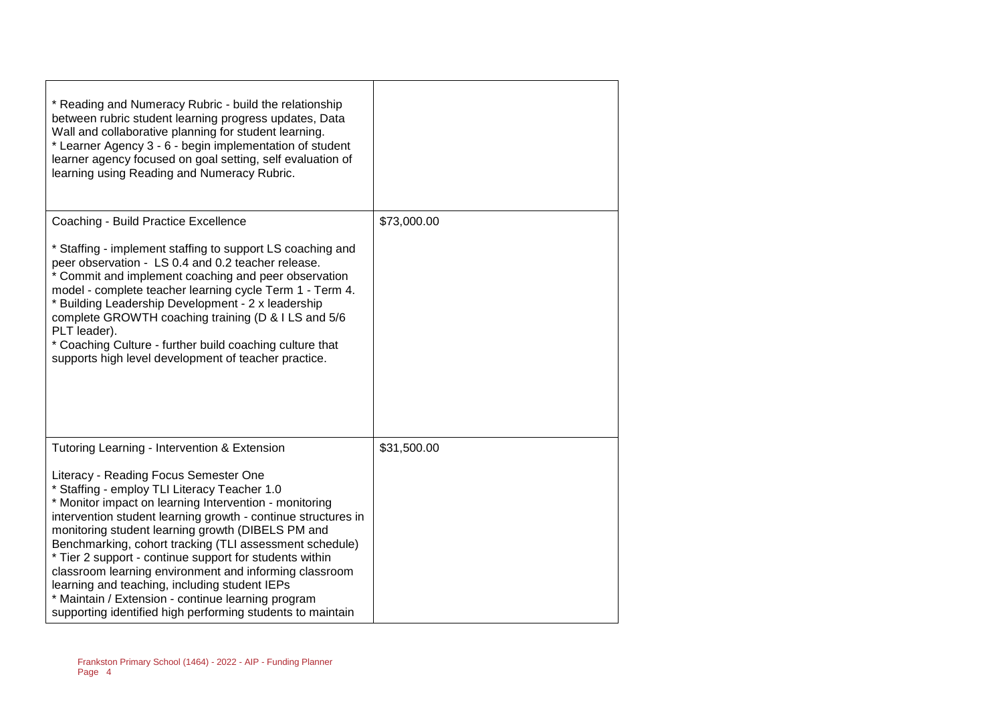| * Reading and Numeracy Rubric - build the relationship<br>between rubric student learning progress updates, Data<br>Wall and collaborative planning for student learning.<br>* Learner Agency 3 - 6 - begin implementation of student<br>learner agency focused on goal setting, self evaluation of<br>learning using Reading and Numeracy Rubric.                                                                                                                                                                                                                                                                                                                         |             |
|----------------------------------------------------------------------------------------------------------------------------------------------------------------------------------------------------------------------------------------------------------------------------------------------------------------------------------------------------------------------------------------------------------------------------------------------------------------------------------------------------------------------------------------------------------------------------------------------------------------------------------------------------------------------------|-------------|
| Coaching - Build Practice Excellence<br>* Staffing - implement staffing to support LS coaching and<br>peer observation - LS 0.4 and 0.2 teacher release.<br>* Commit and implement coaching and peer observation<br>model - complete teacher learning cycle Term 1 - Term 4.<br>* Building Leadership Development - 2 x leadership<br>complete GROWTH coaching training (D & I LS and 5/6<br>PLT leader).<br>* Coaching Culture - further build coaching culture that<br>supports high level development of teacher practice.                                                                                                                                              | \$73,000.00 |
| Tutoring Learning - Intervention & Extension<br>Literacy - Reading Focus Semester One<br>* Staffing - employ TLI Literacy Teacher 1.0<br>* Monitor impact on learning Intervention - monitoring<br>intervention student learning growth - continue structures in<br>monitoring student learning growth (DIBELS PM and<br>Benchmarking, cohort tracking (TLI assessment schedule)<br>* Tier 2 support - continue support for students within<br>classroom learning environment and informing classroom<br>learning and teaching, including student IEPs<br>* Maintain / Extension - continue learning program<br>supporting identified high performing students to maintain | \$31,500.00 |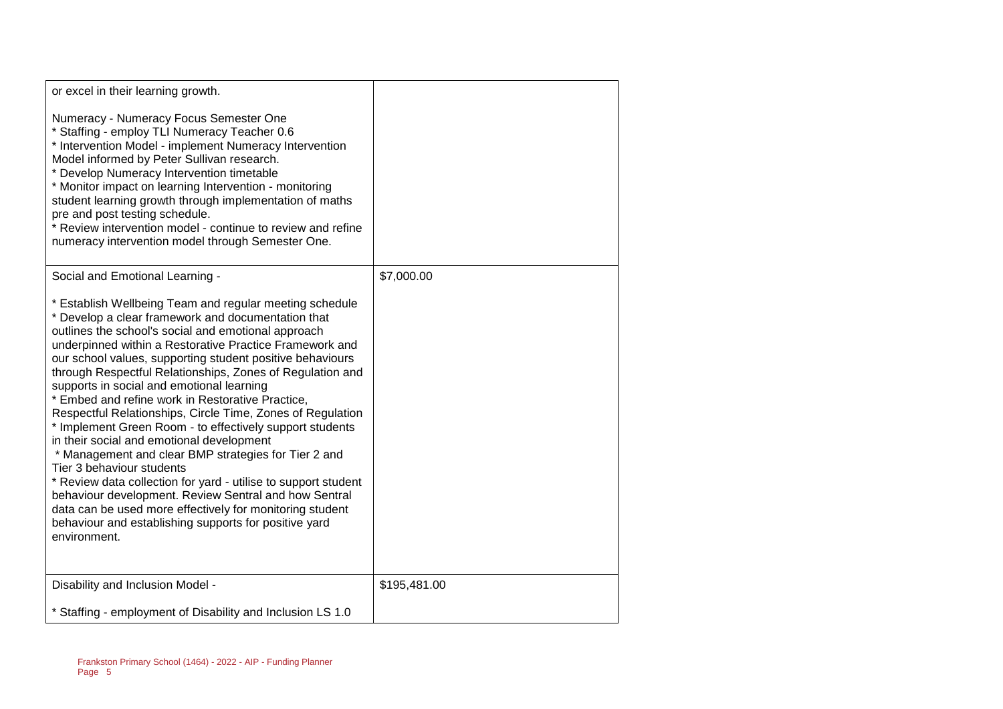| or excel in their learning growth.                                                                                                                                                                                                                                                                                                                                                                                                                                                                                                                                                                                                                                                                                                                                                                                                                                                                                                                                                     |              |
|----------------------------------------------------------------------------------------------------------------------------------------------------------------------------------------------------------------------------------------------------------------------------------------------------------------------------------------------------------------------------------------------------------------------------------------------------------------------------------------------------------------------------------------------------------------------------------------------------------------------------------------------------------------------------------------------------------------------------------------------------------------------------------------------------------------------------------------------------------------------------------------------------------------------------------------------------------------------------------------|--------------|
| Numeracy - Numeracy Focus Semester One<br>* Staffing - employ TLI Numeracy Teacher 0.6<br>* Intervention Model - implement Numeracy Intervention<br>Model informed by Peter Sullivan research.<br>* Develop Numeracy Intervention timetable<br>* Monitor impact on learning Intervention - monitoring<br>student learning growth through implementation of maths<br>pre and post testing schedule.<br>* Review intervention model - continue to review and refine<br>numeracy intervention model through Semester One.                                                                                                                                                                                                                                                                                                                                                                                                                                                                 |              |
| Social and Emotional Learning -                                                                                                                                                                                                                                                                                                                                                                                                                                                                                                                                                                                                                                                                                                                                                                                                                                                                                                                                                        | \$7,000.00   |
| * Establish Wellbeing Team and regular meeting schedule<br>* Develop a clear framework and documentation that<br>outlines the school's social and emotional approach<br>underpinned within a Restorative Practice Framework and<br>our school values, supporting student positive behaviours<br>through Respectful Relationships, Zones of Regulation and<br>supports in social and emotional learning<br>* Embed and refine work in Restorative Practice,<br>Respectful Relationships, Circle Time, Zones of Regulation<br>* Implement Green Room - to effectively support students<br>in their social and emotional development<br>* Management and clear BMP strategies for Tier 2 and<br>Tier 3 behaviour students<br>* Review data collection for yard - utilise to support student<br>behaviour development. Review Sentral and how Sentral<br>data can be used more effectively for monitoring student<br>behaviour and establishing supports for positive yard<br>environment. |              |
| Disability and Inclusion Model -                                                                                                                                                                                                                                                                                                                                                                                                                                                                                                                                                                                                                                                                                                                                                                                                                                                                                                                                                       | \$195,481.00 |
| * Staffing - employment of Disability and Inclusion LS 1.0                                                                                                                                                                                                                                                                                                                                                                                                                                                                                                                                                                                                                                                                                                                                                                                                                                                                                                                             |              |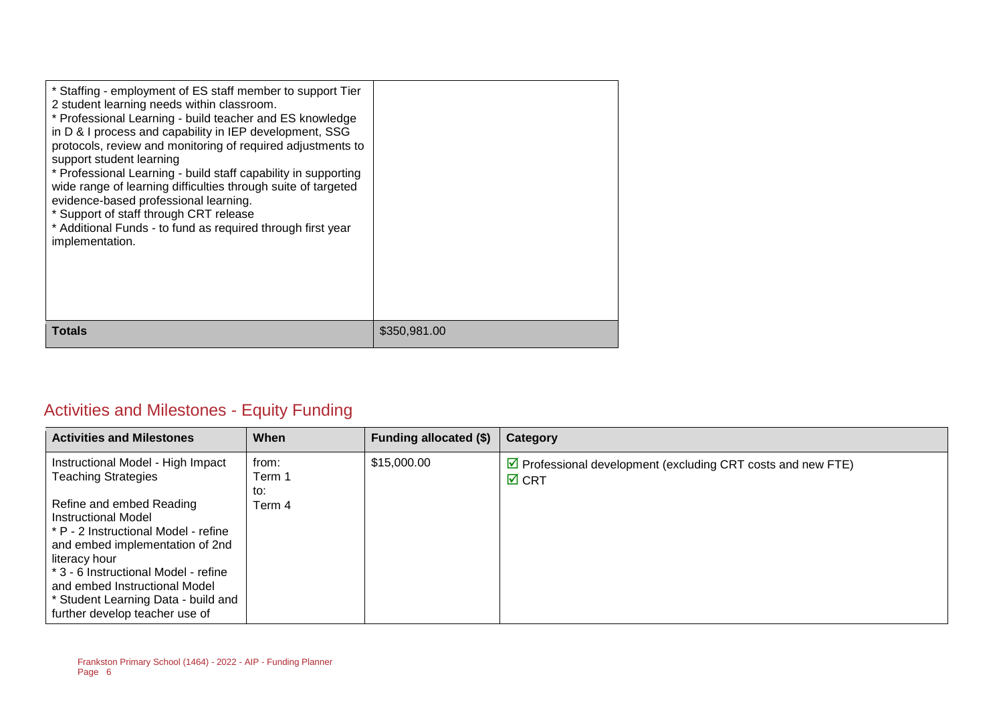| * Staffing - employment of ES staff member to support Tier<br>2 student learning needs within classroom.<br>* Professional Learning - build teacher and ES knowledge<br>in D & I process and capability in IEP development, SSG<br>protocols, review and monitoring of required adjustments to<br>support student learning<br>* Professional Learning - build staff capability in supporting<br>wide range of learning difficulties through suite of targeted<br>evidence-based professional learning.<br>* Support of staff through CRT release<br>* Additional Funds - to fund as required through first year<br>implementation. |              |
|------------------------------------------------------------------------------------------------------------------------------------------------------------------------------------------------------------------------------------------------------------------------------------------------------------------------------------------------------------------------------------------------------------------------------------------------------------------------------------------------------------------------------------------------------------------------------------------------------------------------------------|--------------|
| <b>Totals</b>                                                                                                                                                                                                                                                                                                                                                                                                                                                                                                                                                                                                                      | \$350.981.00 |

### Activities and Milestones - Equity Funding

| <b>Activities and Milestones</b>                                                                                                                                                                                                                                                              | When                   | <b>Funding allocated (\$)</b> | Category                                                                                          |
|-----------------------------------------------------------------------------------------------------------------------------------------------------------------------------------------------------------------------------------------------------------------------------------------------|------------------------|-------------------------------|---------------------------------------------------------------------------------------------------|
| Instructional Model - High Impact<br><b>Teaching Strategies</b>                                                                                                                                                                                                                               | from:<br>Term 1<br>to: | \$15,000.00                   | $\triangleright$ Professional development (excluding CRT costs and new FTE)<br>$\overline{M}$ CRT |
| Refine and embed Reading<br>Instructional Model<br>* P - 2 Instructional Model - refine<br>and embed implementation of 2nd<br>literacy hour<br>* 3 - 6 Instructional Model - refine<br>and embed Instructional Model<br>* Student Learning Data - build and<br>further develop teacher use of | Term 4                 |                               |                                                                                                   |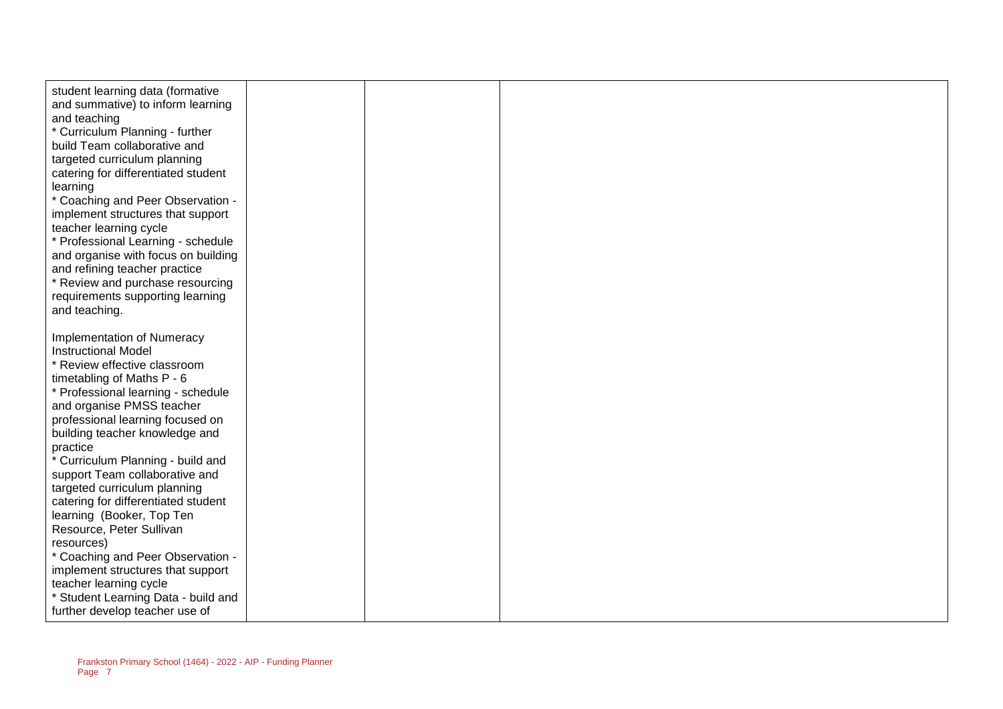| student learning data (formative    |  |  |
|-------------------------------------|--|--|
| and summative) to inform learning   |  |  |
|                                     |  |  |
| and teaching                        |  |  |
| * Curriculum Planning - further     |  |  |
| build Team collaborative and        |  |  |
| targeted curriculum planning        |  |  |
|                                     |  |  |
| catering for differentiated student |  |  |
| learning                            |  |  |
| * Coaching and Peer Observation -   |  |  |
| implement structures that support   |  |  |
| teacher learning cycle              |  |  |
| * Professional Learning - schedule  |  |  |
| and organise with focus on building |  |  |
|                                     |  |  |
| and refining teacher practice       |  |  |
| * Review and purchase resourcing    |  |  |
| requirements supporting learning    |  |  |
| and teaching.                       |  |  |
|                                     |  |  |
| Implementation of Numeracy          |  |  |
| <b>Instructional Model</b>          |  |  |
| * Review effective classroom        |  |  |
|                                     |  |  |
| timetabling of Maths P - 6          |  |  |
| * Professional learning - schedule  |  |  |
| and organise PMSS teacher           |  |  |
| professional learning focused on    |  |  |
| building teacher knowledge and      |  |  |
| practice                            |  |  |
| * Curriculum Planning - build and   |  |  |
| support Team collaborative and      |  |  |
| targeted curriculum planning        |  |  |
| catering for differentiated student |  |  |
|                                     |  |  |
| learning (Booker, Top Ten           |  |  |
| Resource, Peter Sullivan            |  |  |
| resources)                          |  |  |
| * Coaching and Peer Observation -   |  |  |
| implement structures that support   |  |  |
| teacher learning cycle              |  |  |
| * Student Learning Data - build and |  |  |
| further develop teacher use of      |  |  |
|                                     |  |  |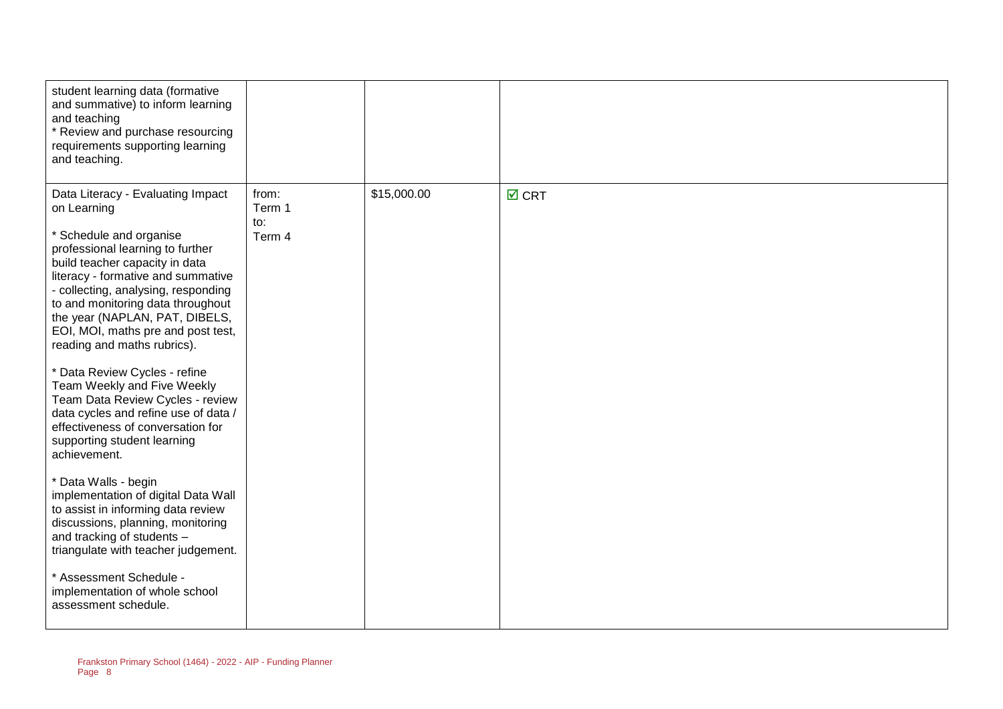| student learning data (formative<br>and summative) to inform learning<br>and teaching<br>* Review and purchase resourcing<br>requirements supporting learning<br>and teaching.                                                                                                                                                                                                                                                                                                                                                                                                                                                                                                                                                                                                                                                                                                                                 |                                  |             |                    |
|----------------------------------------------------------------------------------------------------------------------------------------------------------------------------------------------------------------------------------------------------------------------------------------------------------------------------------------------------------------------------------------------------------------------------------------------------------------------------------------------------------------------------------------------------------------------------------------------------------------------------------------------------------------------------------------------------------------------------------------------------------------------------------------------------------------------------------------------------------------------------------------------------------------|----------------------------------|-------------|--------------------|
| Data Literacy - Evaluating Impact<br>on Learning<br>* Schedule and organise<br>professional learning to further<br>build teacher capacity in data<br>literacy - formative and summative<br>- collecting, analysing, responding<br>to and monitoring data throughout<br>the year (NAPLAN, PAT, DIBELS,<br>EOI, MOI, maths pre and post test,<br>reading and maths rubrics).<br>* Data Review Cycles - refine<br>Team Weekly and Five Weekly<br>Team Data Review Cycles - review<br>data cycles and refine use of data /<br>effectiveness of conversation for<br>supporting student learning<br>achievement.<br>* Data Walls - begin<br>implementation of digital Data Wall<br>to assist in informing data review<br>discussions, planning, monitoring<br>and tracking of students -<br>triangulate with teacher judgement.<br>* Assessment Schedule -<br>implementation of whole school<br>assessment schedule. | from:<br>Term 1<br>to:<br>Term 4 | \$15,000.00 | $\overline{M}$ CRT |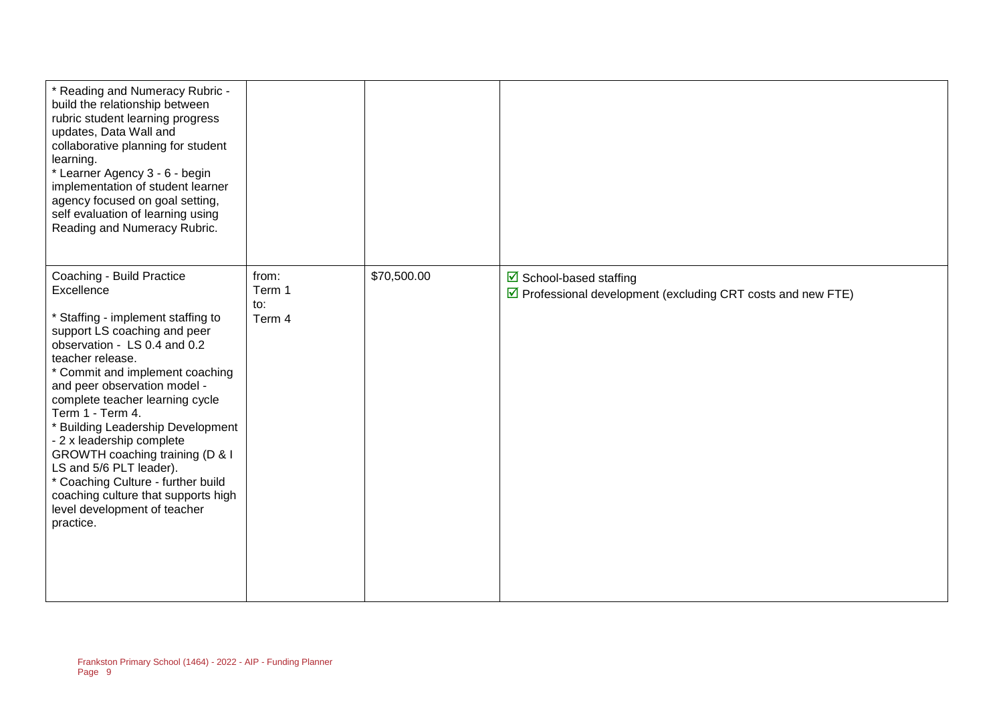| * Reading and Numeracy Rubric -<br>build the relationship between<br>rubric student learning progress<br>updates, Data Wall and<br>collaborative planning for student<br>learning.<br>* Learner Agency 3 - 6 - begin<br>implementation of student learner<br>agency focused on goal setting,<br>self evaluation of learning using<br>Reading and Numeracy Rubric.                                                                                                                                                                                     |                                  |             |                                                                                                                 |
|-------------------------------------------------------------------------------------------------------------------------------------------------------------------------------------------------------------------------------------------------------------------------------------------------------------------------------------------------------------------------------------------------------------------------------------------------------------------------------------------------------------------------------------------------------|----------------------------------|-------------|-----------------------------------------------------------------------------------------------------------------|
| Coaching - Build Practice<br>Excellence<br>* Staffing - implement staffing to<br>support LS coaching and peer<br>observation - LS 0.4 and 0.2<br>teacher release.<br>* Commit and implement coaching<br>and peer observation model -<br>complete teacher learning cycle<br>Term 1 - Term 4.<br>* Building Leadership Development<br>- 2 x leadership complete<br>GROWTH coaching training (D & I<br>LS and 5/6 PLT leader).<br>* Coaching Culture - further build<br>coaching culture that supports high<br>level development of teacher<br>practice. | from:<br>Term 1<br>to:<br>Term 4 | \$70,500.00 | $\boxtimes$ School-based staffing<br>$\triangledown$ Professional development (excluding CRT costs and new FTE) |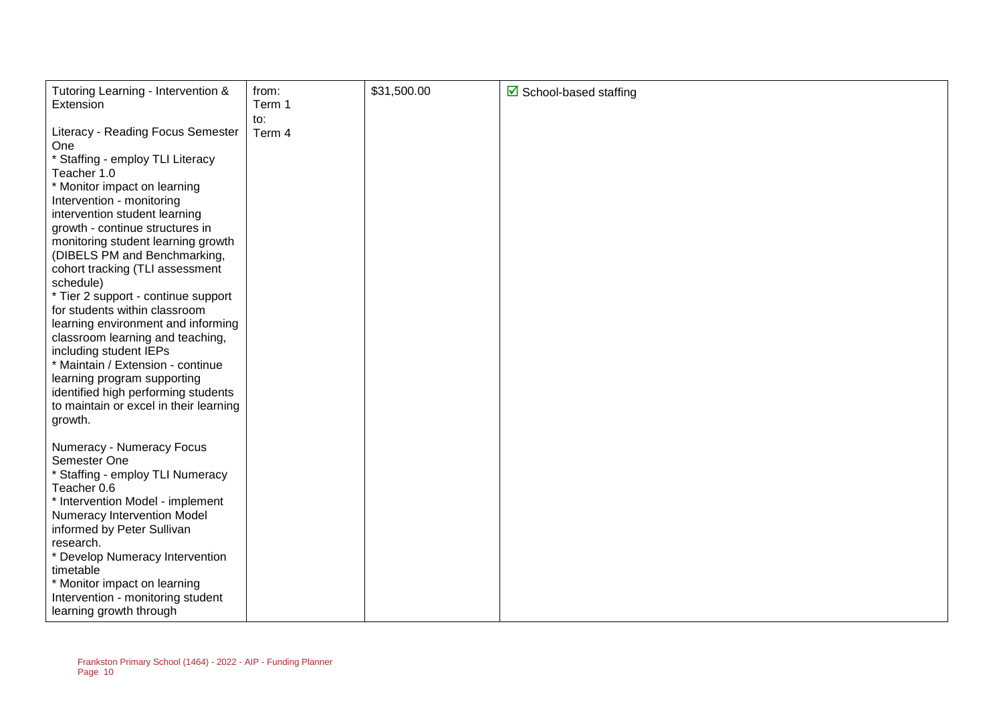| Tutoring Learning - Intervention &<br>Extension                      | from:<br>Term 1 | \$31,500.00 | $\triangleright$ School-based staffing |
|----------------------------------------------------------------------|-----------------|-------------|----------------------------------------|
|                                                                      | to:             |             |                                        |
| Literacy - Reading Focus Semester                                    | Term 4          |             |                                        |
| One                                                                  |                 |             |                                        |
| * Staffing - employ TLI Literacy                                     |                 |             |                                        |
| Teacher 1.0                                                          |                 |             |                                        |
| * Monitor impact on learning                                         |                 |             |                                        |
| Intervention - monitoring                                            |                 |             |                                        |
| intervention student learning                                        |                 |             |                                        |
| growth - continue structures in                                      |                 |             |                                        |
| monitoring student learning growth                                   |                 |             |                                        |
| (DIBELS PM and Benchmarking,                                         |                 |             |                                        |
| cohort tracking (TLI assessment                                      |                 |             |                                        |
| schedule)                                                            |                 |             |                                        |
| * Tier 2 support - continue support<br>for students within classroom |                 |             |                                        |
| learning environment and informing                                   |                 |             |                                        |
| classroom learning and teaching,                                     |                 |             |                                        |
| including student IEPs                                               |                 |             |                                        |
| * Maintain / Extension - continue                                    |                 |             |                                        |
| learning program supporting                                          |                 |             |                                        |
| identified high performing students                                  |                 |             |                                        |
| to maintain or excel in their learning                               |                 |             |                                        |
| growth.                                                              |                 |             |                                        |
|                                                                      |                 |             |                                        |
| Numeracy - Numeracy Focus                                            |                 |             |                                        |
| Semester One                                                         |                 |             |                                        |
| * Staffing - employ TLI Numeracy<br>Teacher 0.6                      |                 |             |                                        |
| * Intervention Model - implement                                     |                 |             |                                        |
| Numeracy Intervention Model                                          |                 |             |                                        |
| informed by Peter Sullivan                                           |                 |             |                                        |
| research.                                                            |                 |             |                                        |
| * Develop Numeracy Intervention                                      |                 |             |                                        |
| timetable                                                            |                 |             |                                        |
| * Monitor impact on learning                                         |                 |             |                                        |
| Intervention - monitoring student                                    |                 |             |                                        |
| learning growth through                                              |                 |             |                                        |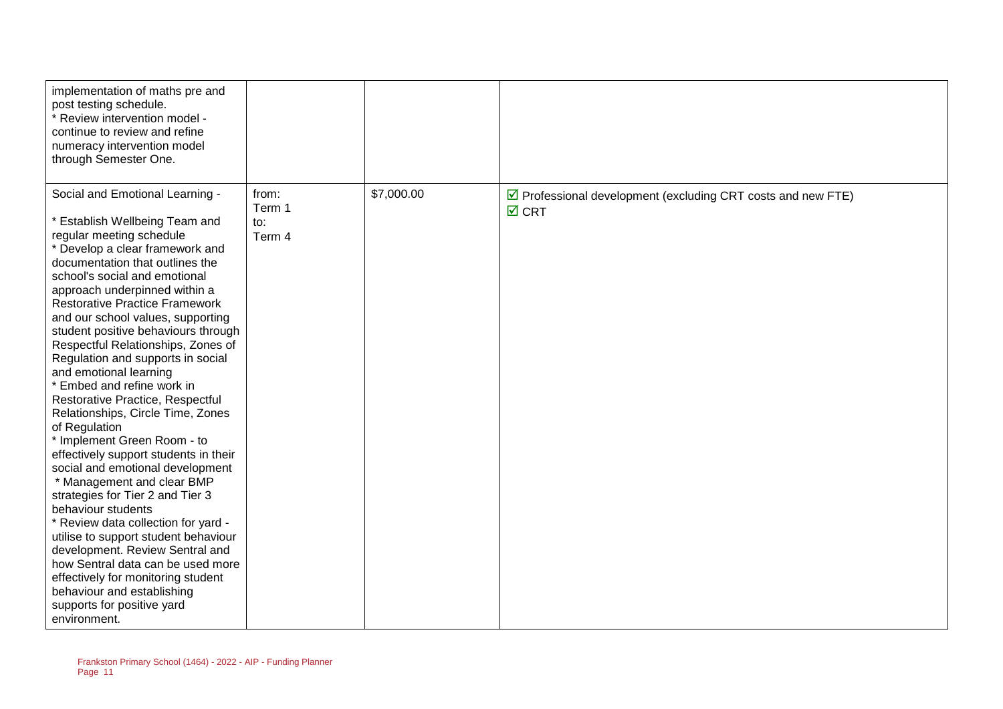| implementation of maths pre and<br>post testing schedule.<br>* Review intervention model -<br>continue to review and refine<br>numeracy intervention model<br>through Semester One.                                                                                                                                                                                                                                                                                                                                                                                                                                                                                                                                                                                                                                                                                                                                                                                                                                                                                  |                                  |            |                                                                                               |
|----------------------------------------------------------------------------------------------------------------------------------------------------------------------------------------------------------------------------------------------------------------------------------------------------------------------------------------------------------------------------------------------------------------------------------------------------------------------------------------------------------------------------------------------------------------------------------------------------------------------------------------------------------------------------------------------------------------------------------------------------------------------------------------------------------------------------------------------------------------------------------------------------------------------------------------------------------------------------------------------------------------------------------------------------------------------|----------------------------------|------------|-----------------------------------------------------------------------------------------------|
| Social and Emotional Learning -<br>* Establish Wellbeing Team and<br>regular meeting schedule<br>* Develop a clear framework and<br>documentation that outlines the<br>school's social and emotional<br>approach underpinned within a<br><b>Restorative Practice Framework</b><br>and our school values, supporting<br>student positive behaviours through<br>Respectful Relationships, Zones of<br>Regulation and supports in social<br>and emotional learning<br>* Embed and refine work in<br>Restorative Practice, Respectful<br>Relationships, Circle Time, Zones<br>of Regulation<br>* Implement Green Room - to<br>effectively support students in their<br>social and emotional development<br>* Management and clear BMP<br>strategies for Tier 2 and Tier 3<br>behaviour students<br>* Review data collection for yard -<br>utilise to support student behaviour<br>development. Review Sentral and<br>how Sentral data can be used more<br>effectively for monitoring student<br>behaviour and establishing<br>supports for positive yard<br>environment. | from:<br>Term 1<br>to:<br>Term 4 | \$7,000.00 | $\triangledown$ Professional development (excluding CRT costs and new FTE)<br>$\boxtimes$ CRT |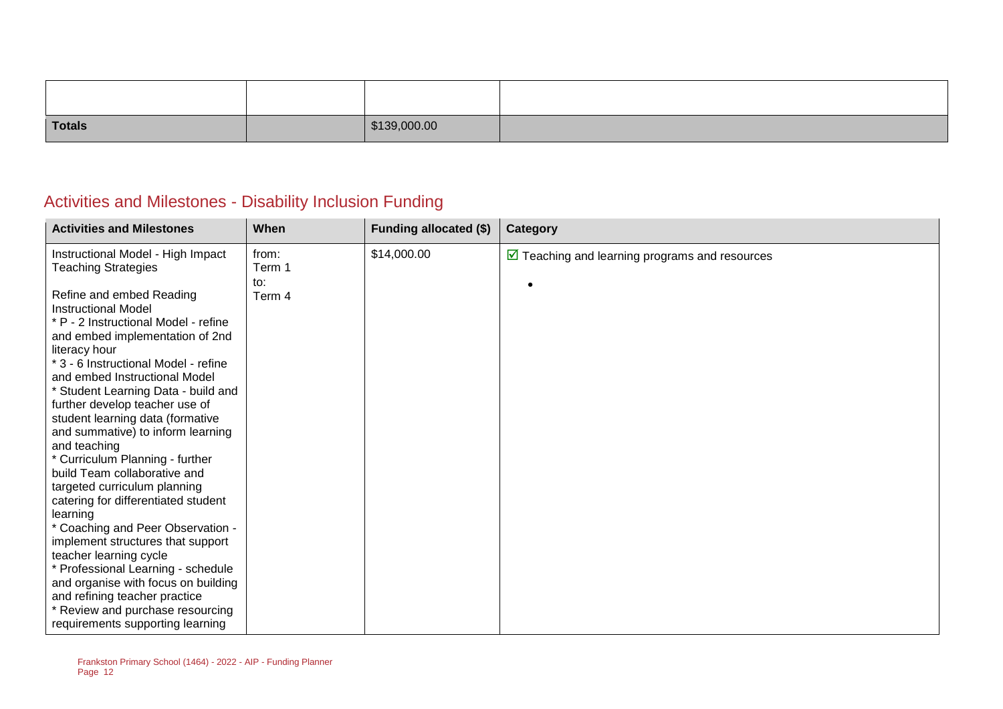| Totals | 1,000.00 |  |
|--------|----------|--|

### Activities and Milestones - Disability Inclusion Funding

| <b>Activities and Milestones</b>                             | When   | <b>Funding allocated (\$)</b> | <b>Category</b>                                               |
|--------------------------------------------------------------|--------|-------------------------------|---------------------------------------------------------------|
| Instructional Model - High Impact                            | from:  | \$14,000.00                   | $\triangleright$ Teaching and learning programs and resources |
| <b>Teaching Strategies</b>                                   | Term 1 |                               |                                                               |
|                                                              | to:    |                               |                                                               |
| Refine and embed Reading<br><b>Instructional Model</b>       | Term 4 |                               |                                                               |
| * P - 2 Instructional Model - refine                         |        |                               |                                                               |
| and embed implementation of 2nd                              |        |                               |                                                               |
| literacy hour                                                |        |                               |                                                               |
| * 3 - 6 Instructional Model - refine                         |        |                               |                                                               |
| and embed Instructional Model                                |        |                               |                                                               |
| * Student Learning Data - build and                          |        |                               |                                                               |
| further develop teacher use of                               |        |                               |                                                               |
| student learning data (formative                             |        |                               |                                                               |
| and summative) to inform learning<br>and teaching            |        |                               |                                                               |
| * Curriculum Planning - further                              |        |                               |                                                               |
| build Team collaborative and                                 |        |                               |                                                               |
| targeted curriculum planning                                 |        |                               |                                                               |
| catering for differentiated student                          |        |                               |                                                               |
| learning                                                     |        |                               |                                                               |
| * Coaching and Peer Observation -                            |        |                               |                                                               |
| implement structures that support                            |        |                               |                                                               |
| teacher learning cycle<br>* Professional Learning - schedule |        |                               |                                                               |
| and organise with focus on building                          |        |                               |                                                               |
| and refining teacher practice                                |        |                               |                                                               |
| Review and purchase resourcing                               |        |                               |                                                               |
| requirements supporting learning                             |        |                               |                                                               |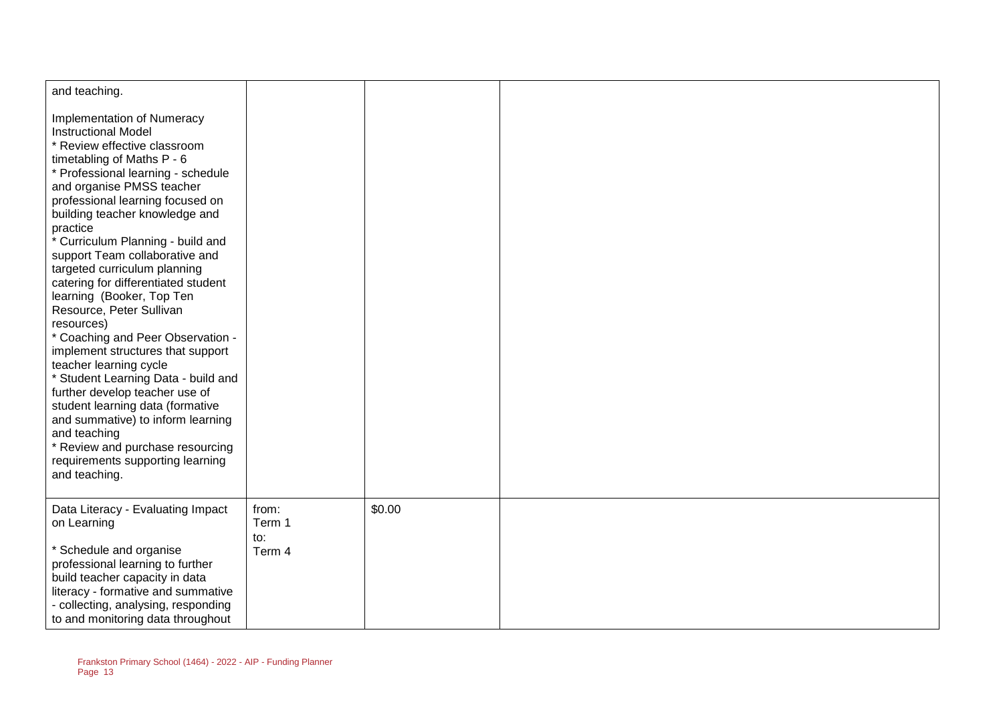| and teaching.                                                                                                                                                                                                                                                                                                                                                                                                                                                                                                                                                                                                                                                                                                                                                                                                                                                   |                                  |        |  |
|-----------------------------------------------------------------------------------------------------------------------------------------------------------------------------------------------------------------------------------------------------------------------------------------------------------------------------------------------------------------------------------------------------------------------------------------------------------------------------------------------------------------------------------------------------------------------------------------------------------------------------------------------------------------------------------------------------------------------------------------------------------------------------------------------------------------------------------------------------------------|----------------------------------|--------|--|
| Implementation of Numeracy<br><b>Instructional Model</b><br>* Review effective classroom<br>timetabling of Maths P - 6<br>* Professional learning - schedule<br>and organise PMSS teacher<br>professional learning focused on<br>building teacher knowledge and<br>practice<br>* Curriculum Planning - build and<br>support Team collaborative and<br>targeted curriculum planning<br>catering for differentiated student<br>learning (Booker, Top Ten<br>Resource, Peter Sullivan<br>resources)<br>* Coaching and Peer Observation -<br>implement structures that support<br>teacher learning cycle<br>* Student Learning Data - build and<br>further develop teacher use of<br>student learning data (formative<br>and summative) to inform learning<br>and teaching<br>* Review and purchase resourcing<br>requirements supporting learning<br>and teaching. |                                  |        |  |
| Data Literacy - Evaluating Impact<br>on Learning<br>* Schedule and organise<br>professional learning to further<br>build teacher capacity in data<br>literacy - formative and summative<br>- collecting, analysing, responding<br>to and monitoring data throughout                                                                                                                                                                                                                                                                                                                                                                                                                                                                                                                                                                                             | from:<br>Term 1<br>to:<br>Term 4 | \$0.00 |  |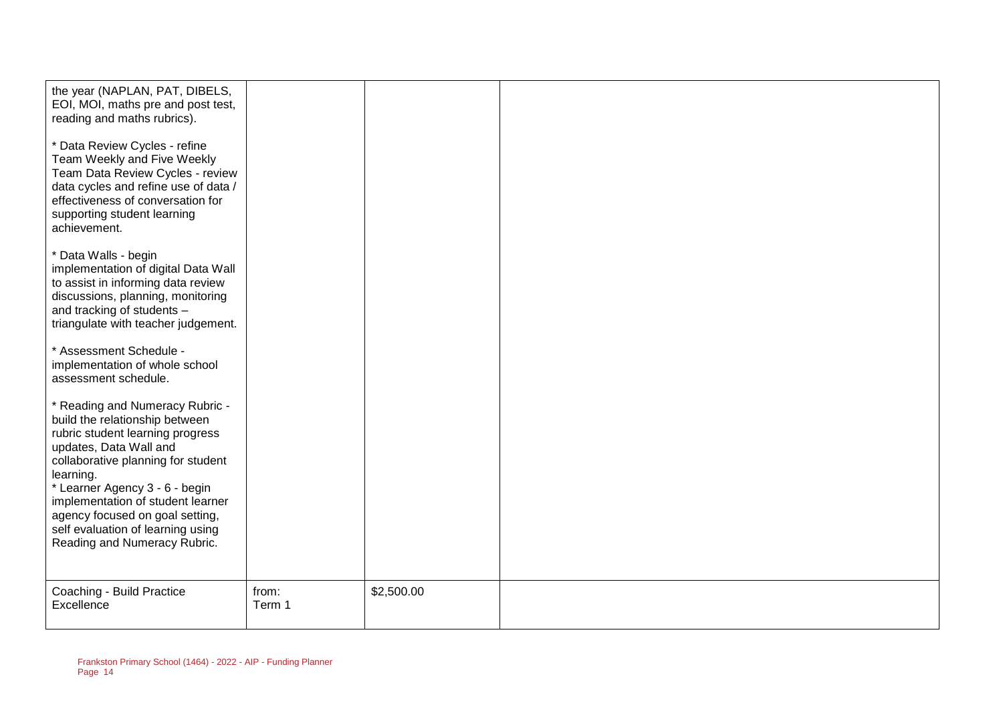| the year (NAPLAN, PAT, DIBELS,<br>EOI, MOI, maths pre and post test,<br>reading and maths rubrics).<br>* Data Review Cycles - refine<br>Team Weekly and Five Weekly<br>Team Data Review Cycles - review<br>data cycles and refine use of data /<br>effectiveness of conversation for<br>supporting student learning<br>achievement.<br>* Data Walls - begin<br>implementation of digital Data Wall<br>to assist in informing data review<br>discussions, planning, monitoring<br>and tracking of students -<br>triangulate with teacher judgement.<br>* Assessment Schedule -<br>implementation of whole school<br>assessment schedule.<br>* Reading and Numeracy Rubric -<br>build the relationship between<br>rubric student learning progress<br>updates, Data Wall and<br>collaborative planning for student<br>learning.<br>* Learner Agency 3 - 6 - begin<br>implementation of student learner<br>agency focused on goal setting,<br>self evaluation of learning using<br>Reading and Numeracy Rubric. |                 |            |  |  |
|--------------------------------------------------------------------------------------------------------------------------------------------------------------------------------------------------------------------------------------------------------------------------------------------------------------------------------------------------------------------------------------------------------------------------------------------------------------------------------------------------------------------------------------------------------------------------------------------------------------------------------------------------------------------------------------------------------------------------------------------------------------------------------------------------------------------------------------------------------------------------------------------------------------------------------------------------------------------------------------------------------------|-----------------|------------|--|--|
| Coaching - Build Practice<br>Excellence                                                                                                                                                                                                                                                                                                                                                                                                                                                                                                                                                                                                                                                                                                                                                                                                                                                                                                                                                                      | from:<br>Term 1 | \$2,500.00 |  |  |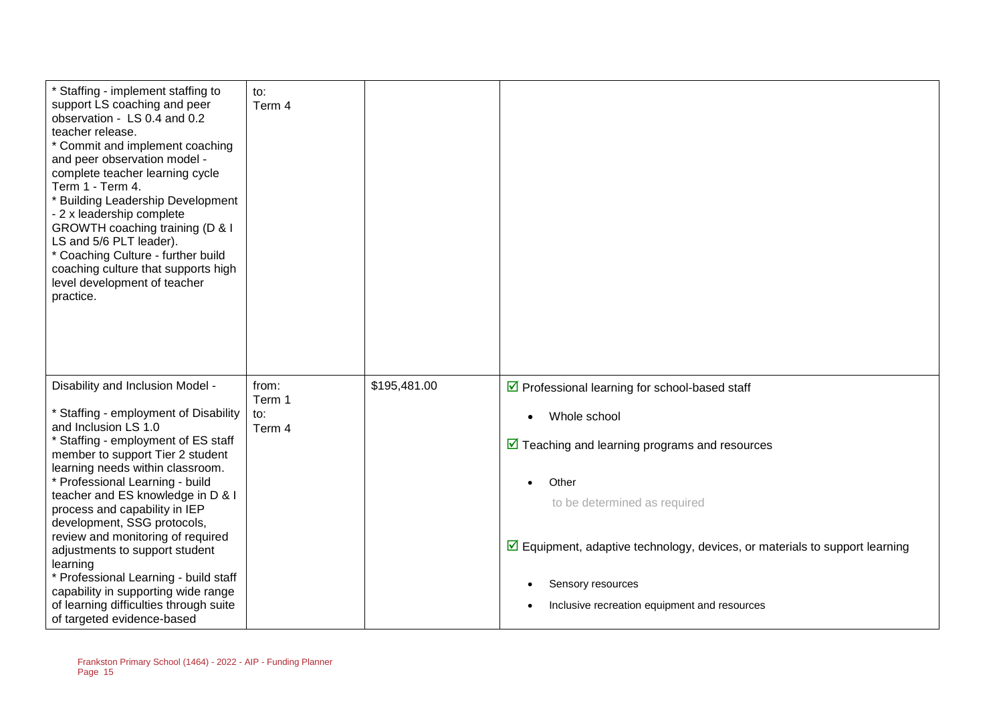| * Staffing - implement staffing to<br>support LS coaching and peer<br>observation - LS 0.4 and 0.2<br>teacher release.<br>* Commit and implement coaching<br>and peer observation model -<br>complete teacher learning cycle<br>Term 1 - Term 4.<br>* Building Leadership Development<br>- 2 x leadership complete<br>GROWTH coaching training (D & I<br>LS and 5/6 PLT leader).<br>* Coaching Culture - further build<br>coaching culture that supports high<br>level development of teacher<br>practice.                                                                                          | to:<br>Term 4                    |              |                                                                                                                                                                                                                                                                                                                                             |
|-----------------------------------------------------------------------------------------------------------------------------------------------------------------------------------------------------------------------------------------------------------------------------------------------------------------------------------------------------------------------------------------------------------------------------------------------------------------------------------------------------------------------------------------------------------------------------------------------------|----------------------------------|--------------|---------------------------------------------------------------------------------------------------------------------------------------------------------------------------------------------------------------------------------------------------------------------------------------------------------------------------------------------|
| Disability and Inclusion Model -<br>* Staffing - employment of Disability<br>and Inclusion LS 1.0<br>* Staffing - employment of ES staff<br>member to support Tier 2 student<br>learning needs within classroom.<br>* Professional Learning - build<br>teacher and ES knowledge in D & I<br>process and capability in IEP<br>development, SSG protocols,<br>review and monitoring of required<br>adjustments to support student<br>learning<br>* Professional Learning - build staff<br>capability in supporting wide range<br>of learning difficulties through suite<br>of targeted evidence-based | from:<br>Term 1<br>to:<br>Term 4 | \$195,481.00 | ☑ Professional learning for school-based staff<br>Whole school<br>$\triangleright$ Teaching and learning programs and resources<br>Other<br>to be determined as required<br>$\triangleright$ Equipment, adaptive technology, devices, or materials to support learning<br>Sensory resources<br>Inclusive recreation equipment and resources |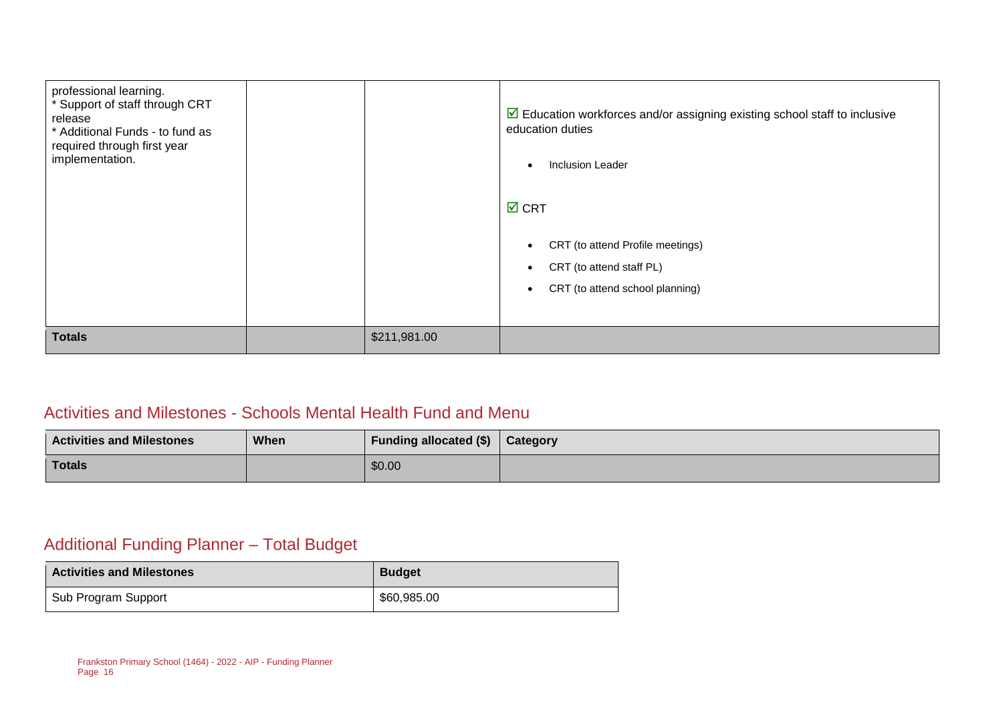| professional learning.<br>* Support of staff through CRT<br>release<br>* Additional Funds - to fund as<br>required through first year<br>implementation. |              | $\triangleright$ Education workforces and/or assigning existing school staff to inclusive<br>education duties<br><b>Inclusion Leader</b><br>$\bullet$<br>$\overline{M}$ CRT<br>CRT (to attend Profile meetings)<br>CRT (to attend staff PL)<br>CRT (to attend school planning)<br>$\bullet$ |
|----------------------------------------------------------------------------------------------------------------------------------------------------------|--------------|---------------------------------------------------------------------------------------------------------------------------------------------------------------------------------------------------------------------------------------------------------------------------------------------|
| <b>Totals</b>                                                                                                                                            | \$211,981.00 |                                                                                                                                                                                                                                                                                             |

#### Activities and Milestones - Schools Mental Health Fund and Menu

| <b>Activities and Milestones</b> | When | <b>Funding allocated (\$)</b> | Category |
|----------------------------------|------|-------------------------------|----------|
| <b>Totals</b>                    |      | \$0.00                        |          |

### Additional Funding Planner – Total Budget

| <b>Activities and Milestones</b> | <b>Budget</b> |
|----------------------------------|---------------|
| Sub Program Support              | \$60,985.00   |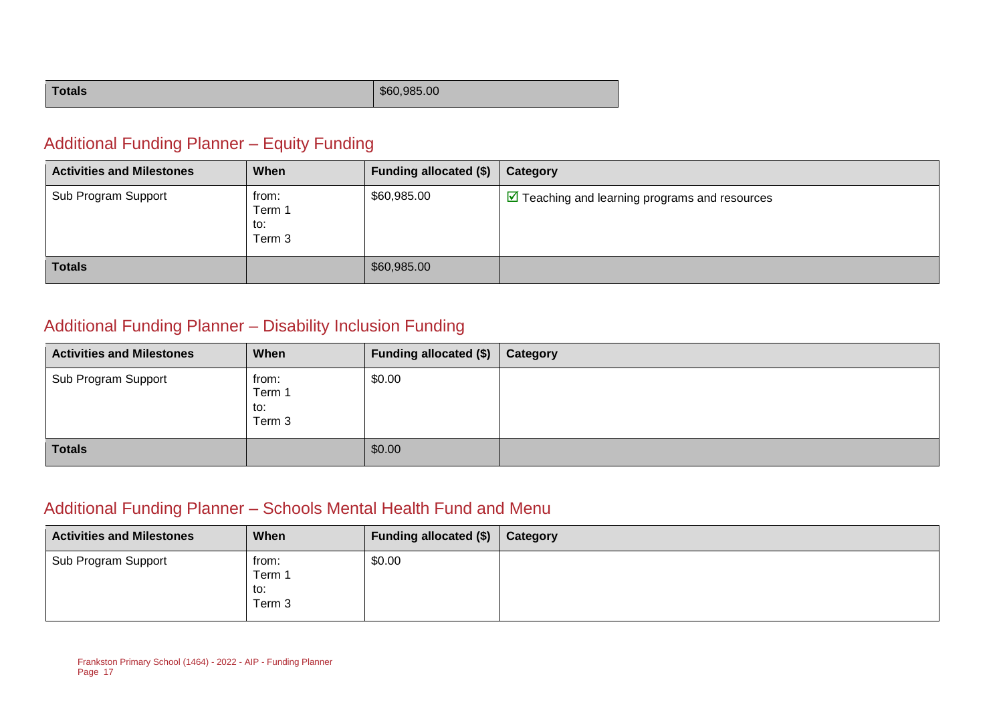| <b>Totals</b> | \$60,985.00 |
|---------------|-------------|
|               |             |

### Additional Funding Planner – Equity Funding

| <b>Activities and Milestones</b> | When                             | Funding allocated (\$) | Category                                                      |
|----------------------------------|----------------------------------|------------------------|---------------------------------------------------------------|
| Sub Program Support              | from:<br>Term 1<br>to:<br>Term 3 | \$60,985.00            | $\triangleright$ Teaching and learning programs and resources |
| <b>Totals</b>                    |                                  | \$60,985.00            |                                                               |

### Additional Funding Planner – Disability Inclusion Funding

| <b>Activities and Milestones</b> | When                             | <b>Funding allocated (\$)</b> | Category |
|----------------------------------|----------------------------------|-------------------------------|----------|
| Sub Program Support              | from:<br>Term 1<br>to:<br>Term 3 | \$0.00                        |          |
| <b>Totals</b>                    |                                  | \$0.00                        |          |

### Additional Funding Planner – Schools Mental Health Fund and Menu

| <b>Activities and Milestones</b> | When                                        | Funding allocated $(\$)$ | Category |
|----------------------------------|---------------------------------------------|--------------------------|----------|
| Sub Program Support              | from:<br>Term 1<br>to:<br>Term <sub>3</sub> | \$0.00                   |          |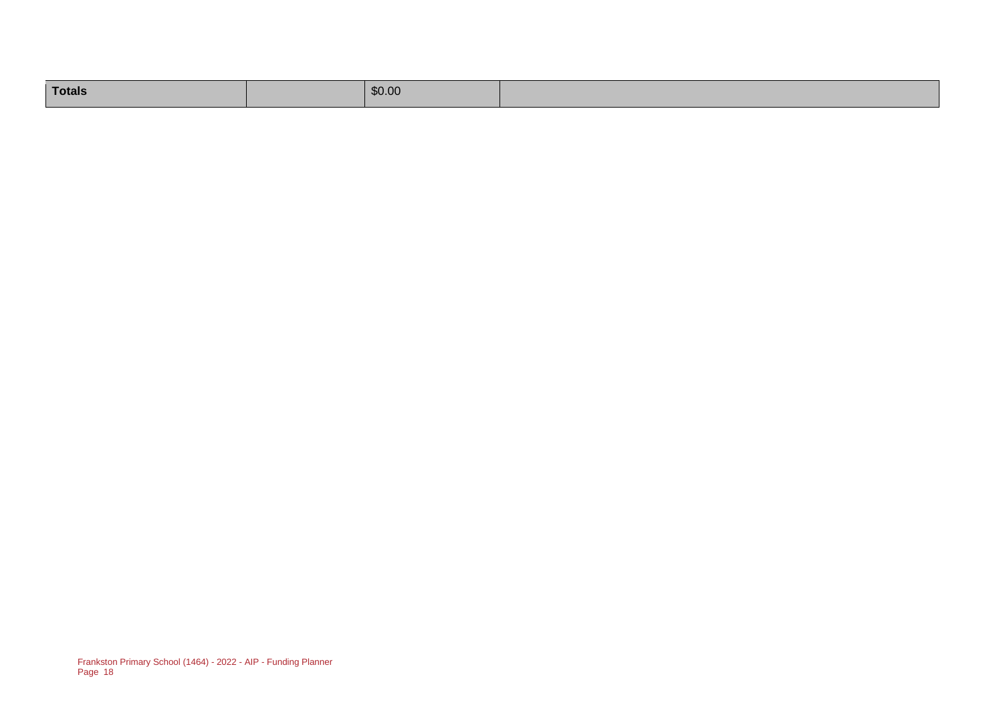| Totals | \$0.00 |  |
|--------|--------|--|
|        |        |  |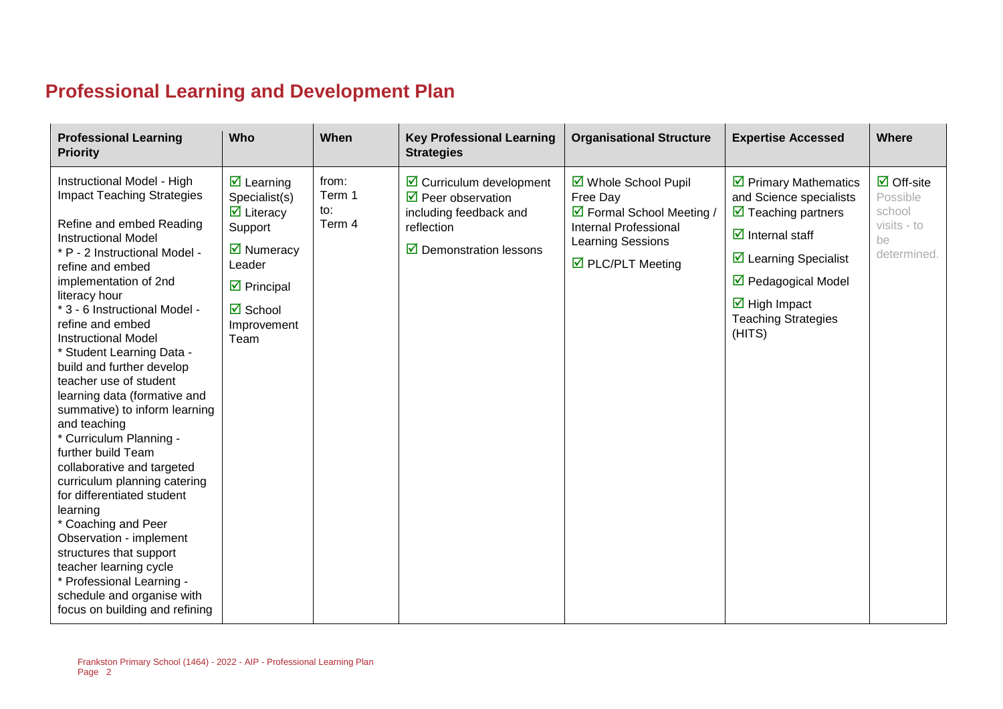## **Professional Learning and Development Plan**

| <b>Professional Learning</b><br><b>Priority</b>                                                                                                                                                                                                                                                                                                                                                                                                                                                                                                                                                                                                                                                                                                                                                                                               | <b>Who</b>                                                                                                                                                                                                                    | When                             | <b>Key Professional Learning</b><br><b>Strategies</b>                                                                                                          | <b>Organisational Structure</b>                                                                                                                | <b>Expertise Accessed</b>                                                                                                                                                                                                                                                                     | <b>Where</b>                                                                 |
|-----------------------------------------------------------------------------------------------------------------------------------------------------------------------------------------------------------------------------------------------------------------------------------------------------------------------------------------------------------------------------------------------------------------------------------------------------------------------------------------------------------------------------------------------------------------------------------------------------------------------------------------------------------------------------------------------------------------------------------------------------------------------------------------------------------------------------------------------|-------------------------------------------------------------------------------------------------------------------------------------------------------------------------------------------------------------------------------|----------------------------------|----------------------------------------------------------------------------------------------------------------------------------------------------------------|------------------------------------------------------------------------------------------------------------------------------------------------|-----------------------------------------------------------------------------------------------------------------------------------------------------------------------------------------------------------------------------------------------------------------------------------------------|------------------------------------------------------------------------------|
| Instructional Model - High<br><b>Impact Teaching Strategies</b><br>Refine and embed Reading<br><b>Instructional Model</b><br>* P - 2 Instructional Model -<br>refine and embed<br>implementation of 2nd<br>literacy hour<br>* 3 - 6 Instructional Model -<br>refine and embed<br><b>Instructional Model</b><br>* Student Learning Data -<br>build and further develop<br>teacher use of student<br>learning data (formative and<br>summative) to inform learning<br>and teaching<br>* Curriculum Planning -<br>further build Team<br>collaborative and targeted<br>curriculum planning catering<br>for differentiated student<br>learning<br>* Coaching and Peer<br>Observation - implement<br>structures that support<br>teacher learning cycle<br>* Professional Learning -<br>schedule and organise with<br>focus on building and refining | $\overline{\mathbf{M}}$ Learning<br>Specialist(s)<br>$\overline{\mathbf{y}}$ Literacy<br>Support<br>$\triangledown$ Numeracy<br>Leader<br>$\triangleright$ Principal<br>$\overline{\mathbf{M}}$ School<br>Improvement<br>Team | from:<br>Term 1<br>to:<br>Term 4 | $\boxdot$ Curriculum development<br>$\overline{\mathbf{y}}$ Peer observation<br>including feedback and<br>reflection<br>$\triangleright$ Demonstration lessons | ☑ Whole School Pupil<br>Free Day<br>☑ Formal School Meeting /<br>Internal Professional<br>Learning Sessions<br>$\triangledown$ PLC/PLT Meeting | $\triangleright$ Primary Mathematics<br>and Science specialists<br>$\triangleright$ Teaching partners<br>$\overline{\mathbf{z}}$ Internal staff<br>$\triangleright$ Learning Specialist<br>☑ Pedagogical Model<br>$\overline{\mathbf{M}}$ High Impact<br><b>Teaching Strategies</b><br>(HITS) | $\boxdot$ Off-site<br>Possible<br>school<br>visits - to<br>be<br>determined. |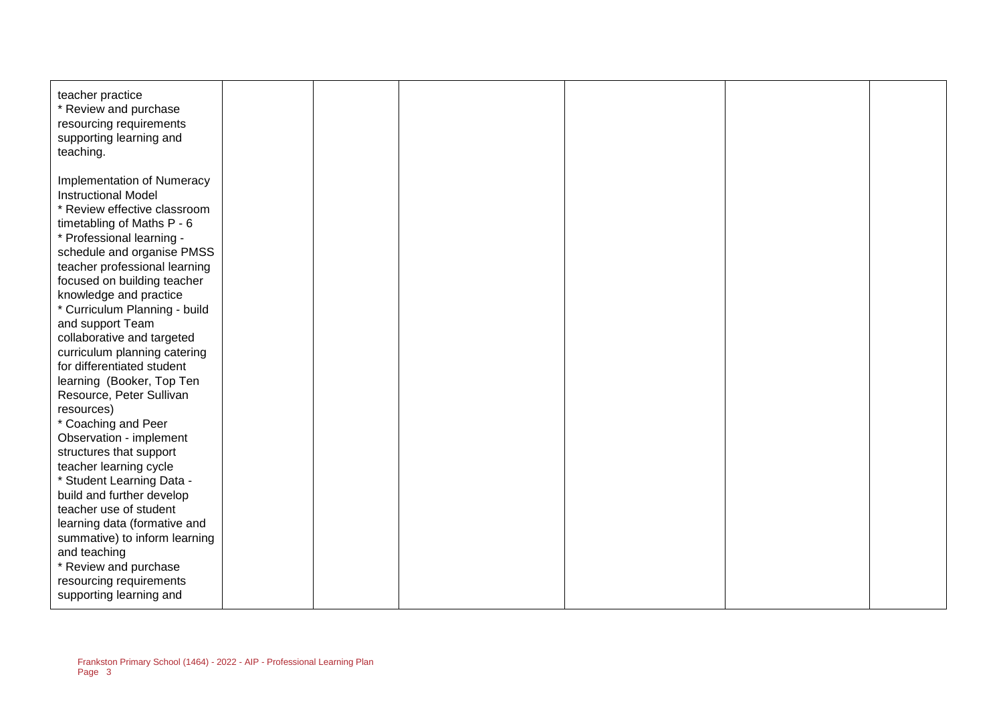| teacher practice<br>* Review and purchase<br>resourcing requirements<br>supporting learning and<br>teaching.                                                                                                       |  |  |  |
|--------------------------------------------------------------------------------------------------------------------------------------------------------------------------------------------------------------------|--|--|--|
| Implementation of Numeracy<br><b>Instructional Model</b><br>* Review effective classroom<br>timetabling of Maths P - 6<br>* Professional learning -<br>schedule and organise PMSS<br>teacher professional learning |  |  |  |
| focused on building teacher<br>knowledge and practice<br>* Curriculum Planning - build<br>and support Team<br>collaborative and targeted<br>curriculum planning catering<br>for differentiated student             |  |  |  |
| learning (Booker, Top Ten<br>Resource, Peter Sullivan<br>resources)<br>* Coaching and Peer<br>Observation - implement<br>structures that support                                                                   |  |  |  |
| teacher learning cycle<br>* Student Learning Data -<br>build and further develop<br>teacher use of student<br>learning data (formative and<br>summative) to inform learning<br>and teaching                        |  |  |  |
| * Review and purchase<br>resourcing requirements<br>supporting learning and                                                                                                                                        |  |  |  |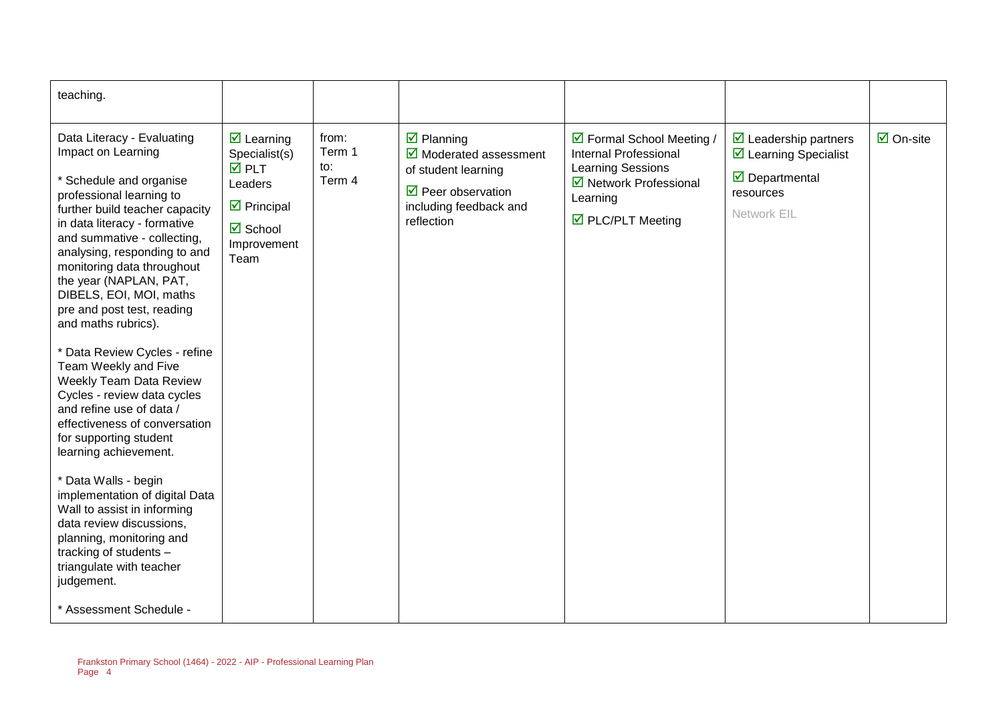| teaching.                                                                                                                                                                                                                                                                                                                                                                                                                                                                                                                                                                                                                                                                                                                                                                                                                                                           |                                                                                                                                                                    |                                  |                                                                                                                                                                         |                                                                                                                                           |                                                                                                                                                  |                     |
|---------------------------------------------------------------------------------------------------------------------------------------------------------------------------------------------------------------------------------------------------------------------------------------------------------------------------------------------------------------------------------------------------------------------------------------------------------------------------------------------------------------------------------------------------------------------------------------------------------------------------------------------------------------------------------------------------------------------------------------------------------------------------------------------------------------------------------------------------------------------|--------------------------------------------------------------------------------------------------------------------------------------------------------------------|----------------------------------|-------------------------------------------------------------------------------------------------------------------------------------------------------------------------|-------------------------------------------------------------------------------------------------------------------------------------------|--------------------------------------------------------------------------------------------------------------------------------------------------|---------------------|
| Data Literacy - Evaluating<br>Impact on Learning<br>* Schedule and organise<br>professional learning to<br>further build teacher capacity<br>in data literacy - formative<br>and summative - collecting,<br>analysing, responding to and<br>monitoring data throughout<br>the year (NAPLAN, PAT,<br>DIBELS, EOI, MOI, maths<br>pre and post test, reading<br>and maths rubrics).<br>* Data Review Cycles - refine<br>Team Weekly and Five<br>Weekly Team Data Review<br>Cycles - review data cycles<br>and refine use of data /<br>effectiveness of conversation<br>for supporting student<br>learning achievement.<br>* Data Walls - begin<br>implementation of digital Data<br>Wall to assist in informing<br>data review discussions,<br>planning, monitoring and<br>tracking of students -<br>triangulate with teacher<br>judgement.<br>* Assessment Schedule - | $\overline{\mathbf{M}}$ Learning<br>Specialist(s)<br><b>ØPLT</b><br>Leaders<br>$\triangleright$ Principal<br>$\overline{\mathbf{M}}$ School<br>Improvement<br>Team | from:<br>Term 1<br>to:<br>Term 4 | $\boxtimes$ Planning<br>$\overline{\mathbf{2}}$ Moderated assessment<br>of student learning<br>$\triangledown$ Peer observation<br>including feedback and<br>reflection | ☑ Formal School Meeting /<br><b>Internal Professional</b><br>Learning Sessions<br>■ Network Professional<br>Learning<br>☑ PLC/PLT Meeting | $\triangleright$ Leadership partners<br>$\triangleright$ Learning Specialist<br>$\overline{\mathbf{z}}$ Departmental<br>resources<br>Network EIL | $\boxtimes$ On-site |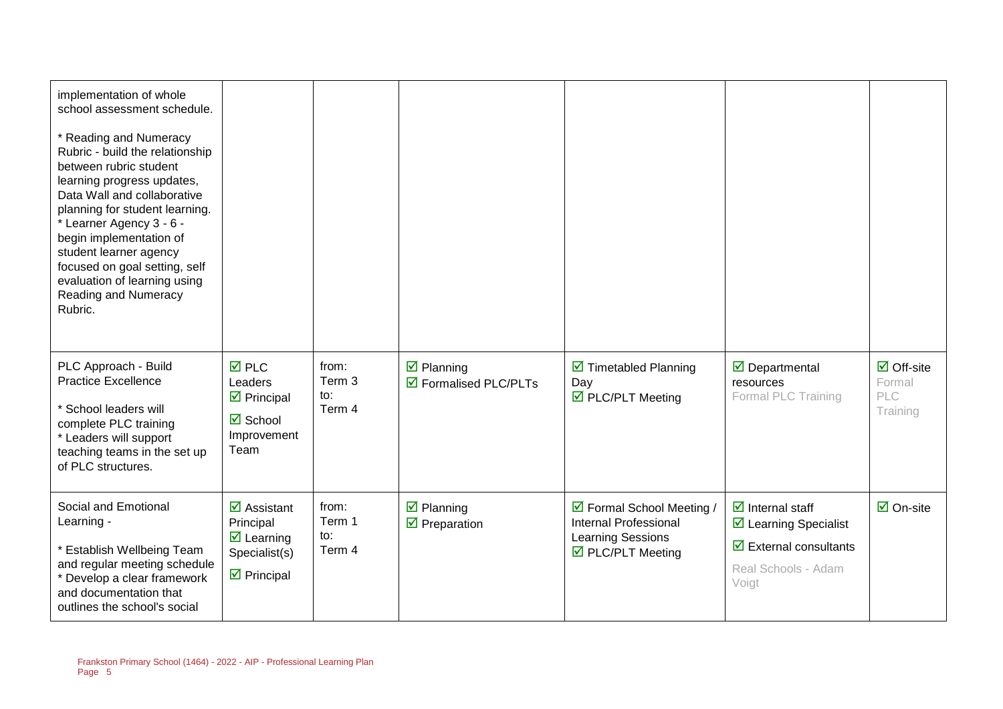| implementation of whole<br>school assessment schedule.<br>* Reading and Numeracy<br>Rubric - build the relationship<br>between rubric student<br>learning progress updates,<br>Data Wall and collaborative<br>planning for student learning.<br>* Learner Agency 3 - 6 -<br>begin implementation of<br>student learner agency<br>focused on goal setting, self<br>evaluation of learning using<br>Reading and Numeracy<br>Rubric. |                                                                                                                                  |                                  |                                                                   |                                                                                                            |                                                                                                                                                                |                                                                |
|-----------------------------------------------------------------------------------------------------------------------------------------------------------------------------------------------------------------------------------------------------------------------------------------------------------------------------------------------------------------------------------------------------------------------------------|----------------------------------------------------------------------------------------------------------------------------------|----------------------------------|-------------------------------------------------------------------|------------------------------------------------------------------------------------------------------------|----------------------------------------------------------------------------------------------------------------------------------------------------------------|----------------------------------------------------------------|
| PLC Approach - Build<br><b>Practice Excellence</b><br>* School leaders will<br>complete PLC training<br>* Leaders will support<br>teaching teams in the set up<br>of PLC structures.                                                                                                                                                                                                                                              | $\overline{M}$ PLC<br>Leaders<br>$\overline{\mathbf{z}}$ Principal<br>☑ School<br>Improvement<br>Team                            | from:<br>Term 3<br>to:<br>Term 4 | $\boxdot$ Planning<br>$\overline{\mathbf{M}}$ Formalised PLC/PLTs | $\overline{\mathbf{2}}$ Timetabled Planning<br>Day<br>☑ PLC/PLT Meeting                                    | $\triangledown$ Departmental<br>resources<br>Formal PLC Training                                                                                               | $\overline{\Box}$ Off-site<br>Formal<br><b>PLC</b><br>Training |
| Social and Emotional<br>Learning -<br>* Establish Wellbeing Team<br>and regular meeting schedule<br>* Develop a clear framework<br>and documentation that<br>outlines the school's social                                                                                                                                                                                                                                         | $\overline{\mathbf{z}}$ Assistant<br>Principal<br>$\overline{\mathbf{M}}$ Learning<br>Specialist(s)<br>$\triangledown$ Principal | from:<br>Term 1<br>to:<br>Term 4 | $\boxtimes$ Planning<br>$\triangledown$ Preparation               | ☑ Formal School Meeting /<br><b>Internal Professional</b><br><b>Learning Sessions</b><br>☑ PLC/PLT Meeting | $\overline{\mathbf{y}}$ Internal staff<br>$\triangleright$ Learning Specialist<br>$\overline{\mathbf{M}}$ External consultants<br>Real Schools - Adam<br>Voigt | $\overline{\mathsf{M}}$ On-site                                |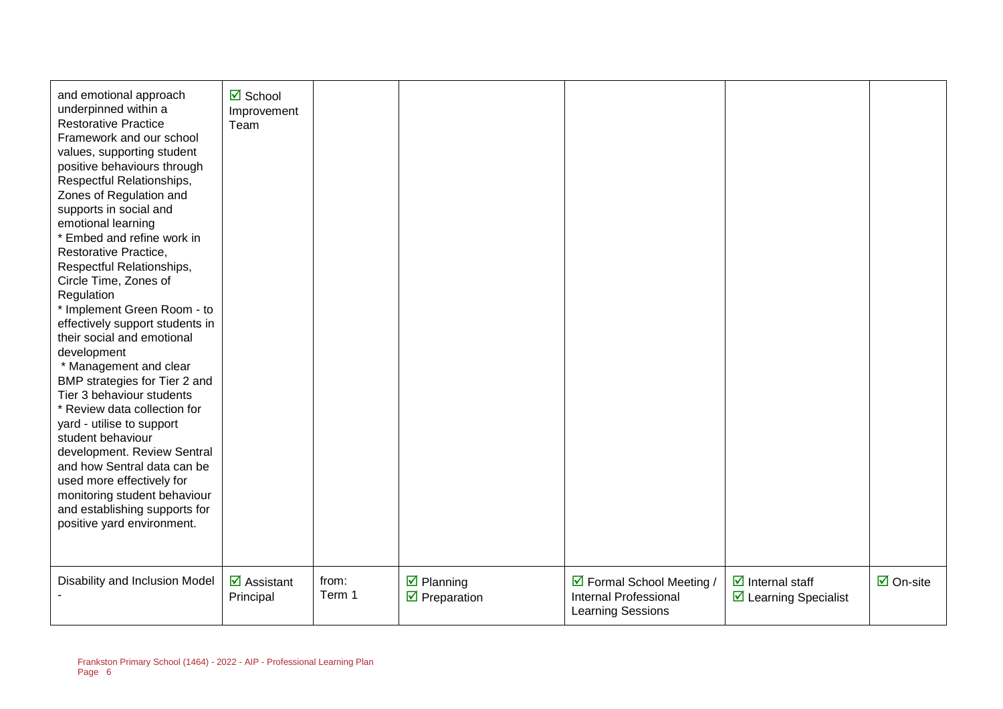| and emotional approach<br>underpinned within a<br><b>Restorative Practice</b><br>Framework and our school<br>values, supporting student<br>positive behaviours through<br>Respectful Relationships,<br>Zones of Regulation and<br>supports in social and<br>emotional learning<br>* Embed and refine work in<br>Restorative Practice,<br>Respectful Relationships,<br>Circle Time, Zones of<br>Regulation<br>* Implement Green Room - to<br>effectively support students in<br>their social and emotional<br>development<br>* Management and clear<br>BMP strategies for Tier 2 and<br>Tier 3 behaviour students<br>* Review data collection for<br>yard - utilise to support<br>student behaviour<br>development. Review Sentral<br>and how Sentral data can be<br>used more effectively for<br>monitoring student behaviour<br>and establishing supports for<br>positive yard environment. | <b>⊠</b> School<br>Improvement<br>Team         |                 |                                                     |                                                                                       |                                                                 |                                 |
|----------------------------------------------------------------------------------------------------------------------------------------------------------------------------------------------------------------------------------------------------------------------------------------------------------------------------------------------------------------------------------------------------------------------------------------------------------------------------------------------------------------------------------------------------------------------------------------------------------------------------------------------------------------------------------------------------------------------------------------------------------------------------------------------------------------------------------------------------------------------------------------------|------------------------------------------------|-----------------|-----------------------------------------------------|---------------------------------------------------------------------------------------|-----------------------------------------------------------------|---------------------------------|
| Disability and Inclusion Model                                                                                                                                                                                                                                                                                                                                                                                                                                                                                                                                                                                                                                                                                                                                                                                                                                                               | $\overline{\mathbf{z}}$ Assistant<br>Principal | from:<br>Term 1 | $\boxtimes$ Planning<br>$\triangledown$ Preparation | ☑ Formal School Meeting /<br><b>Internal Professional</b><br><b>Learning Sessions</b> | $\overline{\mathbf{y}}$ Internal staff<br>☑ Learning Specialist | $\overline{\mathsf{M}}$ On-site |